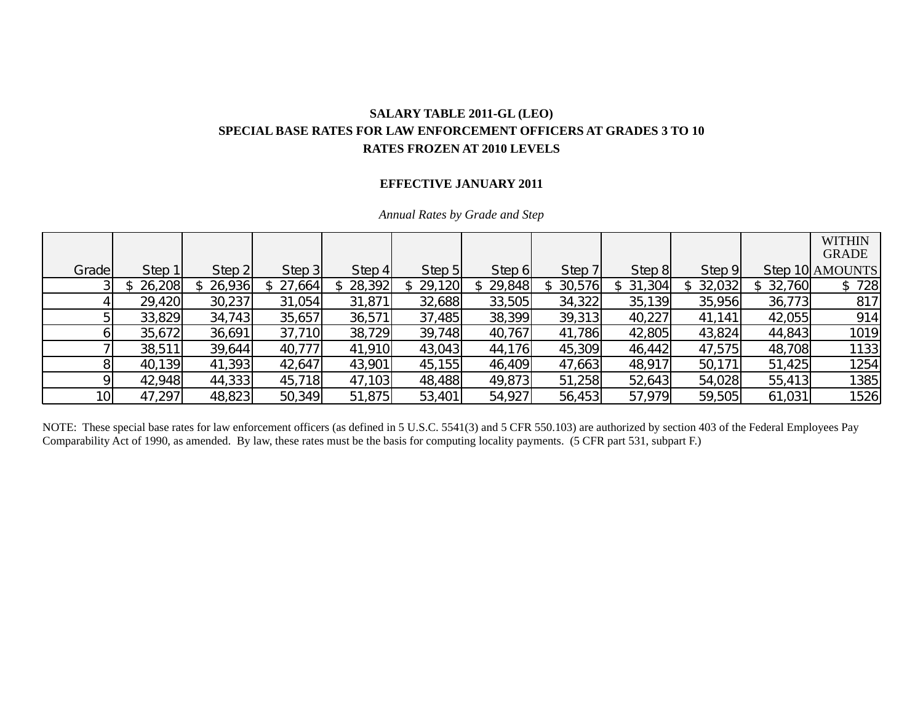## **SALARY TABLE 2011-GL (LEO) SPECIAL BASE RATES FOR LAW ENFORCEMENT OFFICERS AT GRADES 3 TO 10 RATES FROZEN AT 2010 LEVELS**

## **EFFECTIVE JANUARY 2011**

|       |        |        |           |          |        |          |        |        |        |          | <b>WITHIN</b><br><b>GRADE</b> |
|-------|--------|--------|-----------|----------|--------|----------|--------|--------|--------|----------|-------------------------------|
| Grade | Step 1 | Step 2 | Step 3    | Step $4$ | Step 5 | Step 6   | Step 7 | Step 8 | Step 9 |          | Step 10 AMOUNTS               |
|       | 26,208 | 26,936 | \$27,664] | 28,392   | 29,120 | \$29,848 | 30,576 | 31,304 | 32,032 | \$32,760 | 728<br>\$.                    |
|       | 29,420 | 30,237 | 31,054    | 31,871   | 32,688 | 33,505   | 34,322 | 35,139 | 35,956 | 36,773   | 817                           |
|       | 33,829 | 34,743 | 35,657    | 36,571   | 37,485 | 38,399   | 39,313 | 40,227 | 41,141 | 42,055   | 914                           |
|       | 35,672 | 36,691 | 37,710    | 38,729   | 39,748 | 40,767   | 41,786 | 42,805 | 43,824 | 44,843   | 1019                          |
|       | 38,511 | 39,644 | 40,777    | 41,910   | 43,043 | 44,176   | 45,309 | 46,442 | 47,575 | 48,708   | 1133                          |
|       | 40,139 | 41,393 | 42,647    | 43,901   | 45,155 | 46,409   | 47,663 | 48,917 | 50,171 | 51,425   | 1254                          |
|       | 42,948 | 44,333 | 45,718    | 47,103   | 48,488 | 49,873   | 51,258 | 52,643 | 54,028 | 55,413   | 1385                          |
| 10I   | 47,297 | 48,823 | 50,349    | 51,875   | 53,401 | 54,927   | 56,453 | 57,979 | 59,505 | 61,031   | 1526                          |

*Annual Rates by Grade and Step* 

NOTE: These special base rates for law enforcement officers (as defined in 5 U.S.C. 5541(3) and 5 CFR 550.103) are authorized by section 403 of the Federal Employees Pay Comparability Act of 1990, as amended. By law, these rates must be the basis for computing locality payments. (5 CFR part 531, subpart F.)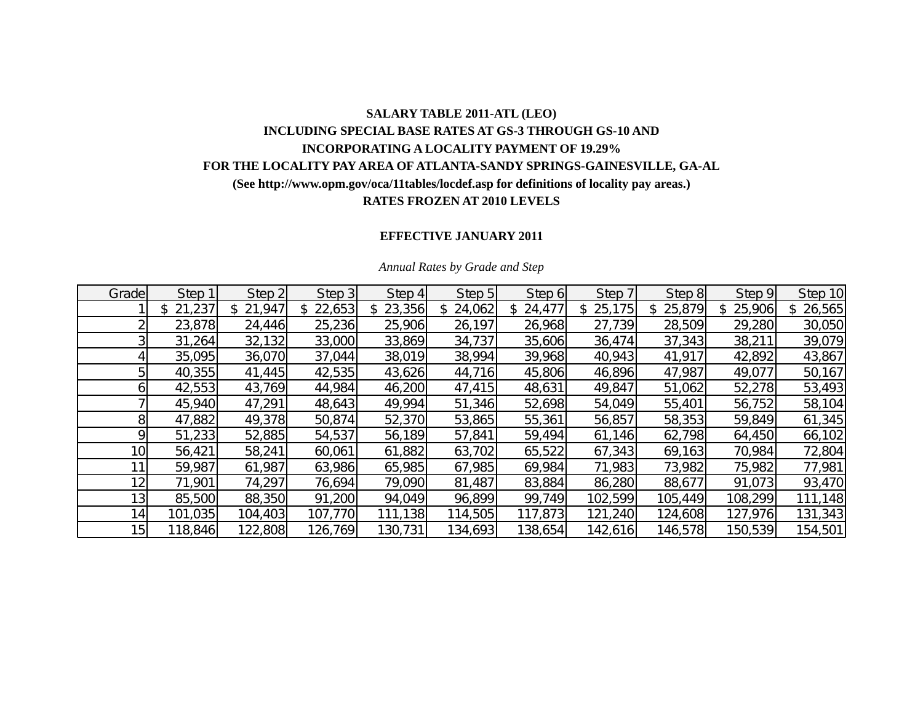# **SALARY TABLE 2011-ATL (LEO) INCLUDING SPECIAL BASE RATES AT GS-3 THROUGH GS-10 AND INCORPORATING A LOCALITY PAYMENT OF 19.29% FOR THE LOCALITY PAY AREA OF ATLANTA-SANDY SPRINGS-GAINESVILLE, GA-AL (See http://www.opm.gov/oca/11tables/locdef.asp for definitions of locality pay areas.) RATES FROZEN AT 2010 LEVELS**

## **EFFECTIVE JANUARY 2011**

| Grade           | Step 1       | Step 2        | Step 3  | Step 4   | Step 5  | Step 6       | Step 7        | Step 8       | Step 9  | Step 10 |
|-----------------|--------------|---------------|---------|----------|---------|--------------|---------------|--------------|---------|---------|
|                 | 21,237<br>\$ | 21,947<br>\$. | 22,653  | \$23,356 | 24,062  | 24,477<br>\$ | 25,175<br>\$. | 25,879<br>\$ | 25,906  | 26,565  |
|                 | 23,878       | 24,446        | 25,236  | 25,906   | 26,197  | 26,968       | 27,739        | 28,509       | 29,280  | 30,050  |
|                 | 31,264       | 32,132        | 33,000  | 33,869   | 34,737  | 35,606       | 36,474        | 37,343       | 38,211  | 39,079  |
|                 | 35,095       | 36,070        | 37,044  | 38,019   | 38,994  | 39,968       | 40,943        | 41,917       | 42,892  | 43,867  |
|                 | 40,355       | 41,445        | 42,535  | 43,626   | 44,716  | 45,806       | 46,896        | 47,987       | 49,077  | 50,167  |
|                 | 42,553       | 43,769        | 44,984  | 46,200   | 47,415  | 48,631       | 49,847        | 51,062       | 52,278  | 53,493  |
|                 | 45,940       | 47,291        | 48,643  | 49,994   | 51,346  | 52,698       | 54,049        | 55,401       | 56,752  | 58,104  |
| 8               | 47,882       | 49,378        | 50,874  | 52,370   | 53,865  | 55,361       | 56,857        | 58,353       | 59,849  | 61,345  |
| οı              | 51,233       | 52,885        | 54,537  | 56,189   | 57,841  | 59,494       | 61,146        | 62,798       | 64,450  | 66,102  |
| 10 <sup>1</sup> | 56,421       | 58,241        | 60,061  | 61,882   | 63,702  | 65,522       | 67,343        | 69,163       | 70,984  | 72,804  |
|                 | 59,987       | 61,987        | 63,986  | 65,985   | 67,985  | 69,984       | 71,983        | 73,982       | 75,982  | 77,981  |
| 12 <sub>1</sub> | 71,901       | 74,297        | 76,694  | 79,090   | 81,487  | 83,884       | 86,280        | 88,677       | 91,073  | 93,470  |
| 13 <sub>l</sub> | 85,500       | 88,350        | 91,200  | 94,049   | 96,899  | 99,749       | 102,599       | 105,449      | 108,299 | 111,148 |
| 14 <sub>l</sub> | 101,035      | 104,403       | 107,770 | 111,138  | 114,505 | 117,873      | 121,240       | 124,608      | 127,976 | 131,343 |
| 15              | 118,846      | 122,808       | 126,769 | 130,731  | 134,693 | 138,654      | 142,616       | 146,578      | 150,539 | 154,501 |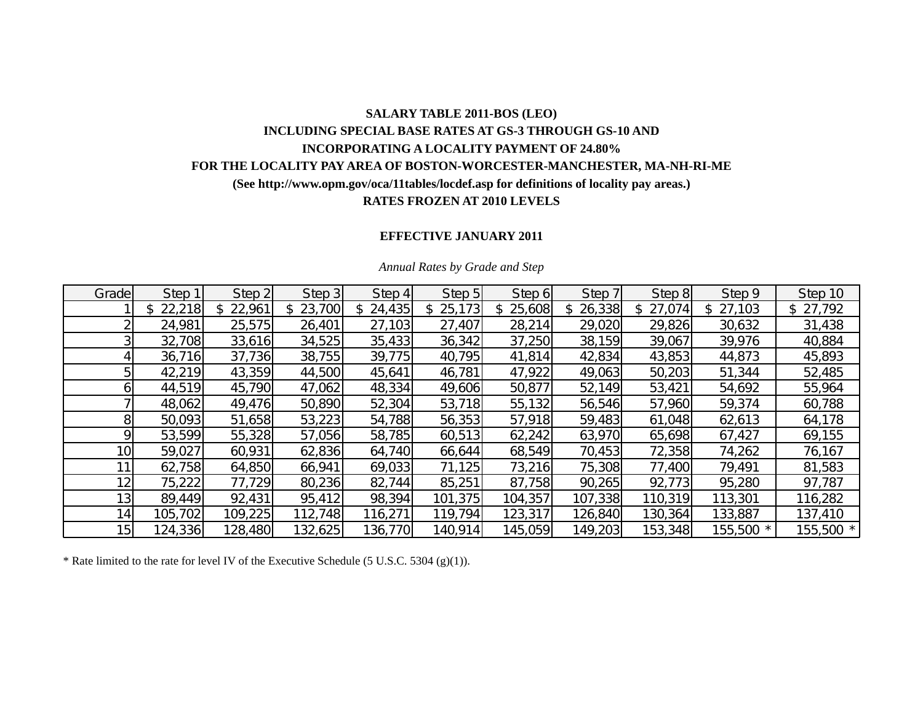## **SALARY TABLE 2011-BOS (LEO) INCLUDING SPECIAL BASE RATES AT GS-3 THROUGH GS-10 AND INCORPORATING A LOCALITY PAYMENT OF 24.80% FOR THE LOCALITY PAY AREA OF BOSTON-WORCESTER-MANCHESTER, MA-NH-RI-ME (See http://www.opm.gov/oca/11tables/locdef.asp for definitions of locality pay areas.) RATES FROZEN AT 2010 LEVELS**

## **EFFECTIVE JANUARY 2011**

| Grade           | Step 1  | Step 2  | Step 3  | Step 4  | Step 5        | Step 6  | Step 7       | Step 8   | Step 9       | Step 10   |
|-----------------|---------|---------|---------|---------|---------------|---------|--------------|----------|--------------|-----------|
|                 | 22,218  | 22,961  | 23,700  | 24,435  | 25,173<br>\$. | 25,608  | 26,338<br>\$ | \$27,074 | 27,103<br>\$ | \$27,792  |
|                 | 24,981  | 25,575  | 26,401  | 27,103  | 27,407        | 28,214  | 29,020       | 29,826   | 30,632       | 31,438    |
|                 | 32,708  | 33,616  | 34,525  | 35,433  | 36,342        | 37,250  | 38,159       | 39,067   | 39,976       | 40,884    |
|                 | 36,716  | 37,736  | 38,755  | 39,775  | 40,795        | 41,814  | 42,834       | 43,853   | 44,873       | 45,893    |
| 5               | 42,219  | 43,359  | 44,500  | 45,641  | 46,781        | 47,922  | 49,063       | 50,203   | 51,344       | 52,485    |
| 61              | 44,519  | 45,790  | 47,062  | 48,334  | 49,606        | 50,877  | 52,149       | 53,421   | 54,692       | 55,964    |
|                 | 48,062  | 49,476  | 50,890  | 52,304  | 53,718        | 55,132  | 56,546       | 57,960   | 59,374       | 60,788    |
| 81              | 50,093  | 51,658  | 53,223  | 54,788  | 56,353        | 57,918  | 59,483       | 61,048   | 62,613       | 64,178    |
| ۹l              | 53,599  | 55,328  | 57,056  | 58,785  | 60,513        | 62,242  | 63,970       | 65,698   | 67,427       | 69,155    |
| 10 <sup>1</sup> | 59,027  | 60,931  | 62,836  | 64,740  | 66,644        | 68,549  | 70,453       | 72,358   | 74,262       | 76,167    |
| 11              | 62,758  | 64,850  | 66,941  | 69,033  | 71,125        | 73,216  | 75,308       | 77,400   | 79,491       | 81,583    |
| 12              | 75,222  | 77,729  | 80,236  | 82,744  | 85,251        | 87,758  | 90,265       | 92,773   | 95,280       | 97,787    |
| 13 <sub>1</sub> | 89,449  | 92,431  | 95,412  | 98,394  | 101,375       | 104,357 | 107,338      | 110,319  | 113,301      | 116,282   |
| 14 <sub>1</sub> | 105,702 | 109,225 | 112,748 | 116,271 | 119,794       | 123,317 | 126,840      | 130,364  | 133,887      | 137,410   |
| 15 <sub>l</sub> | 124,336 | 128,480 | 132,625 | 136,770 | 140,914       | 145,059 | 149,203      | 153,348  | 155,500 *    | 155,500 * |

#### *Annual Rates by Grade and Step*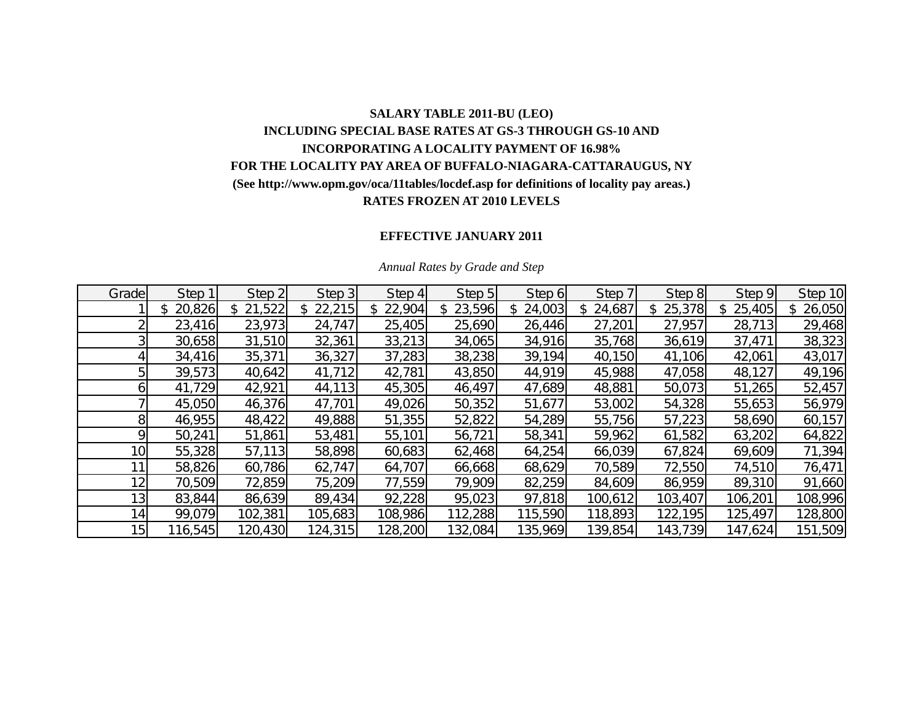# **SALARY TABLE 2011-BU (LEO) INCLUDING SPECIAL BASE RATES AT GS-3 THROUGH GS-10 AND INCORPORATING A LOCALITY PAYMENT OF 16.98% FOR THE LOCALITY PAY AREA OF BUFFALO-NIAGARA-CATTARAUGUS, NY (See http://www.opm.gov/oca/11tables/locdef.asp for definitions of locality pay areas.) RATES FROZEN AT 2010 LEVELS**

## **EFFECTIVE JANUARY 2011**

| Grade           | Step 1       | Step 2       | Step 3  | Step 4   | Step 5       | Step 6        | Step 7  | Step 8        | Step 9  | Step 10      |
|-----------------|--------------|--------------|---------|----------|--------------|---------------|---------|---------------|---------|--------------|
|                 | 20,826<br>\$ | 21,522<br>\$ | 22,215  | \$22,904 | 23,596<br>\$ | 24,003<br>\$. | 24,687  | 25,378<br>\$. | 25,405  | 26,050<br>\$ |
|                 | 23,416       | 23,973       | 24,747  | 25,405   | 25,690       | 26,446        | 27,201  | 27,957        | 28,713  | 29,468       |
|                 | 30,658       | 31,510       | 32,361  | 33,213   | 34,065       | 34,916        | 35,768  | 36,619        | 37,471  | 38,323       |
|                 | 34,416       | 35,371       | 36,327  | 37,283   | 38,238       | 39,194        | 40,150  | 41,106        | 42,061  | 43,017       |
|                 | 39,573       | 40,642       | 41,712  | 42,781   | 43,850       | 44,919        | 45,988  | 47,058        | 48,127  | 49,196       |
|                 | 41,729       | 42,921       | 44,113  | 45,305   | 46,497       | 47,689        | 48,881  | 50,073        | 51,265  | 52,457       |
|                 | 45,050       | 46,376       | 47,701  | 49,026   | 50,352       | 51,677        | 53,002  | 54,328        | 55,653  | 56,979       |
| 8               | 46,955       | 48,422       | 49,888  | 51,355   | 52,822       | 54,289        | 55,756  | 57,223        | 58,690  | 60,157       |
| ΩI              | 50,241       | 51,861       | 53,481  | 55,101   | 56,721       | 58,341        | 59,962  | 61,582        | 63,202  | 64,822       |
| 10 <sub>l</sub> | 55,328       | 57,113       | 58,898  | 60,683   | 62,468       | 64,254        | 66,039  | 67,824        | 69,609  | 71,394       |
|                 | 58,826       | 60,786       | 62,747  | 64,707   | 66,668       | 68,629        | 70,589  | 72,550        | 74,510  | 76,471       |
| 12 <sub>1</sub> | 70,509       | 72,859       | 75,209  | 77,559   | 79,909       | 82,259        | 84,609  | 86,959        | 89,310  | 91,660       |
| 13 <sub>l</sub> | 83,844       | 86,639       | 89,434  | 92,228   | 95,023       | 97,818        | 100,612 | 103,407       | 106,201 | 108,996      |
| 14              | 99,079       | 102,381      | 105,683 | 108,986  | 112,288      | 115,590       | 118,893 | 122,195       | 125,497 | 128,800      |
| 15 <sub>l</sub> | 116,545      | 120,430      | 124,315 | 128,200  | 132,084      | 135,969       | 139,854 | 143,739       | 147,624 | 151,509      |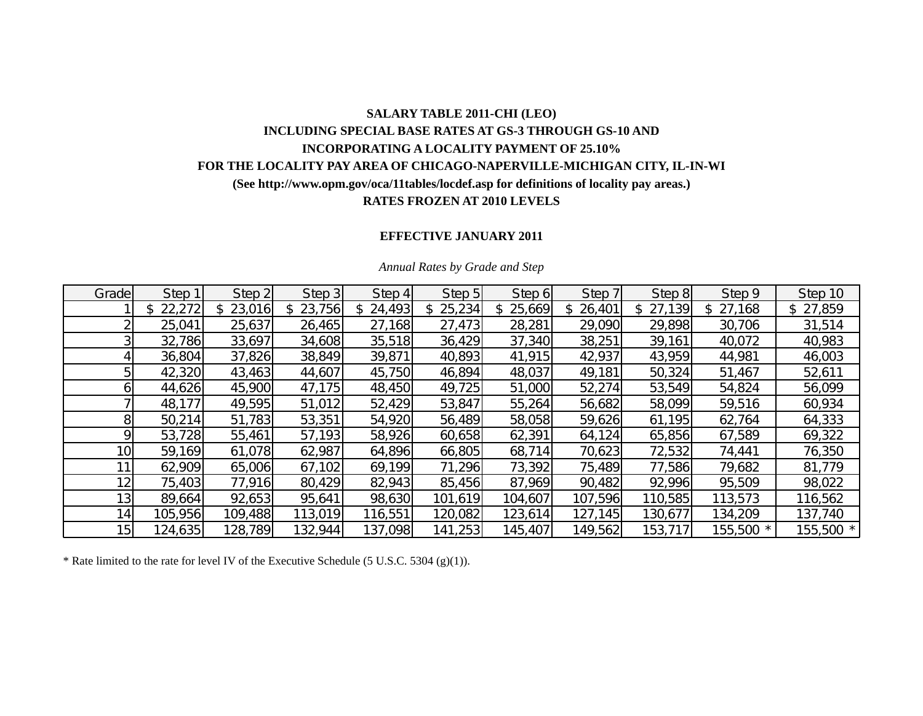## **SALARY TABLE 2011-CHI (LEO) INCLUDING SPECIAL BASE RATES AT GS-3 THROUGH GS-10 AND INCORPORATING A LOCALITY PAYMENT OF 25.10% FOR THE LOCALITY PAY AREA OF CHICAGO-NAPERVILLE-MICHIGAN CITY, IL-IN-WI (See http://www.opm.gov/oca/11tables/locdef.asp for definitions of locality pay areas.) RATES FROZEN AT 2010 LEVELS**

## **EFFECTIVE JANUARY 2011**

| Grade           | Step 1   | Step 2       | Step 3   | Step 4   | Step 5   | Step 6   | Step 7       | Step 8   | Step 9       | Step 10   |
|-----------------|----------|--------------|----------|----------|----------|----------|--------------|----------|--------------|-----------|
|                 | \$22,272 | 23,016<br>\$ | \$23,756 | \$24,493 | \$25,234 | \$25,669 | \$<br>26,401 | \$27,139 | 27,168<br>\$ | \$27,859  |
|                 | 25,041   | 25,637       | 26,465   | 27,168   | 27,473   | 28,281   | 29,090       | 29,898   | 30,706       | 31,514    |
|                 | 32,786   | 33,697       | 34,608   | 35,518   | 36,429   | 37,340   | 38,251       | 39,161   | 40,072       | 40,983    |
|                 | 36,804   | 37,826       | 38,849   | 39,871   | 40,893   | 41,915   | 42,937       | 43,959   | 44,981       | 46,003    |
| 5               | 42,320   | 43,463       | 44,607   | 45,750   | 46,894   | 48,037   | 49,181       | 50,324   | 51,467       | 52,611    |
| ы               | 44,626   | 45,900       | 47,175   | 48,450   | 49,725   | 51,000   | 52,274       | 53,549   | 54,824       | 56,099    |
|                 | 48,177   | 49,595       | 51,012   | 52,429   | 53,847   | 55,264   | 56,682       | 58,099   | 59,516       | 60,934    |
| 81              | 50,214   | 51,783       | 53,351   | 54,920   | 56,489   | 58,058   | 59,626       | 61,195   | 62,764       | 64,333    |
| Q.              | 53,728   | 55,461       | 57,193   | 58,926   | 60,658   | 62,391   | 64,124       | 65,856   | 67,589       | 69,322    |
| 10 <sub>l</sub> | 59,169   | 61,078       | 62,987   | 64,896   | 66,805   | 68,714   | 70,623       | 72,532   | 74,441       | 76,350    |
|                 | 62,909   | 65,006       | 67,102   | 69,199   | 71,296   | 73,392   | 75,489       | 77,586   | 79,682       | 81,779    |
| 12              | 75,403   | 77,916       | 80,429   | 82,943   | 85,456   | 87,969   | 90,482       | 92,996   | 95,509       | 98,022    |
| 13              | 89,664   | 92,653       | 95,641   | 98,630   | 101,619  | 104,607  | 107,596      | 110,585  | 113,573      | 116,562   |
| 14              | 105,956  | 109,488      | 113,019  | 116,551  | 120,082  | 123,614  | 127,145      | 130,677  | 134,209      | 137,740   |
| 15              | 124,635  | 128,789      | 132,944  | 137,098  | 141,253  | 145,407  | 149,562      | 153,717  | 155,500 *    | 155,500 * |

#### *Annual Rates by Grade and Step*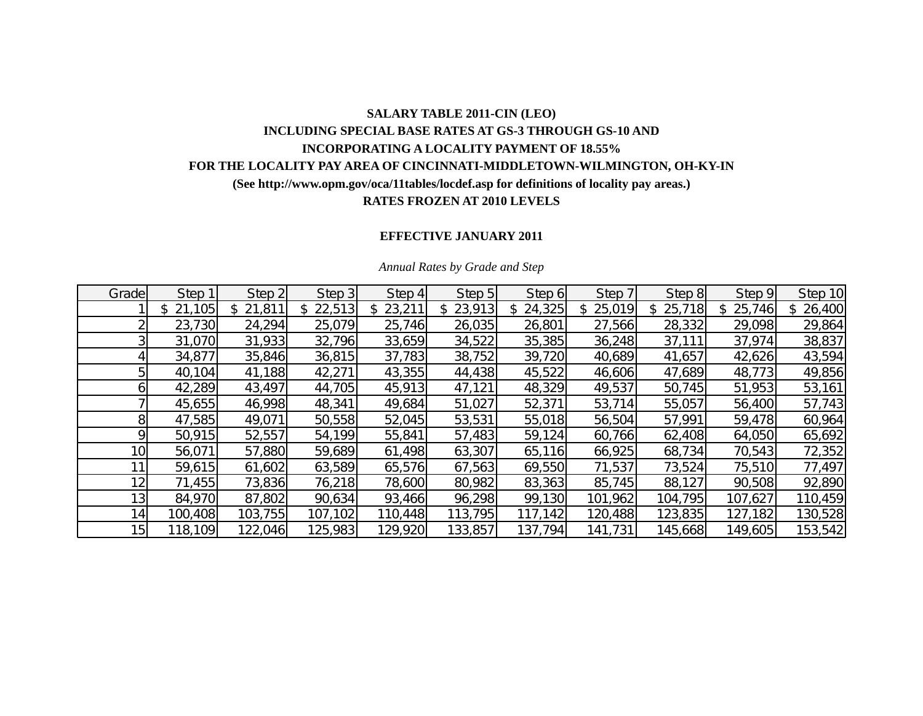## **SALARY TABLE 2011-CIN (LEO) INCLUDING SPECIAL BASE RATES AT GS-3 THROUGH GS-10 AND INCORPORATING A LOCALITY PAYMENT OF 18.55% FOR THE LOCALITY PAY AREA OF CINCINNATI-MIDDLETOWN-WILMINGTON, OH-KY-IN (See http://www.opm.gov/oca/11tables/locdef.asp for definitions of locality pay areas.) RATES FROZEN AT 2010 LEVELS**

### **EFFECTIVE JANUARY 2011**

| Grade           | Step 1       | Step 2       | Step 3   | Step 4   | Step 5       | Step 6   | Step 7       | Step 8       | Step 9  | Step 10 |
|-----------------|--------------|--------------|----------|----------|--------------|----------|--------------|--------------|---------|---------|
|                 | 21,105<br>\$ | 21,811<br>\$ | \$22,513 | \$23,211 | 23,913<br>\$ | \$24,325 | 25,019<br>\$ | 25,718<br>S. | 25,746  | 26,400  |
|                 | 23,730       | 24,294       | 25,079   | 25,746   | 26,035       | 26,801   | 27,566       | 28,332       | 29,098  | 29,864  |
|                 | 31,070       | 31,933       | 32,796   | 33,659   | 34,522       | 35,385   | 36,248       | 37,111       | 37,974  | 38,837  |
|                 | 34,877       | 35,846       | 36,815   | 37,783   | 38,752       | 39,720   | 40,689       | 41,657       | 42,626  | 43,594  |
|                 | 40,104       | 41,188       | 42,271   | 43,355   | 44,438       | 45,522   | 46,606       | 47,689       | 48,773  | 49,856  |
|                 | 42,289       | 43,497       | 44,705   | 45,913   | 47,121       | 48,329   | 49,537       | 50,745       | 51,953  | 53,161  |
|                 | 45,655       | 46,998       | 48,341   | 49,684   | 51,027       | 52,371   | 53,714       | 55,057       | 56,400  | 57,743  |
| 8               | 47,585       | 49,071       | 50,558   | 52,045   | 53,531       | 55,018   | 56,504       | 57,991       | 59,478  | 60,964  |
| οı              | 50,915       | 52,557       | 54,199   | 55,841   | 57,483       | 59,124   | 60,766       | 62,408       | 64,050  | 65,692  |
| 10 <sup>1</sup> | 56,071       | 57,880       | 59,689   | 61,498   | 63,307       | 65,116   | 66,925       | 68,734       | 70,543  | 72,352  |
|                 | 59,615       | 61,602       | 63,589   | 65,576   | 67,563       | 69,550   | 71,537       | 73,524       | 75,510  | 77,497  |
| 12 <sub>1</sub> | 71,455       | 73,836       | 76,218   | 78,600   | 80,982       | 83,363   | 85,745       | 88,127       | 90,508  | 92,890  |
| 13 <sub>l</sub> | 84,970       | 87,802       | 90,634   | 93,466   | 96,298       | 99,130   | 101,962      | 104,795      | 107,627 | 110,459 |
| 14 <sub>l</sub> | 100,408      | 103,755      | 107,102  | 110,448  | 113,795      | 117,142  | 120,488      | 123,835      | 127,182 | 130,528 |
| 15 <sub>l</sub> | 118,109      | 122,046      | 125,983  | 129,920  | 133,857      | 137,794  | 141,731      | 145,668      | 149,605 | 153,542 |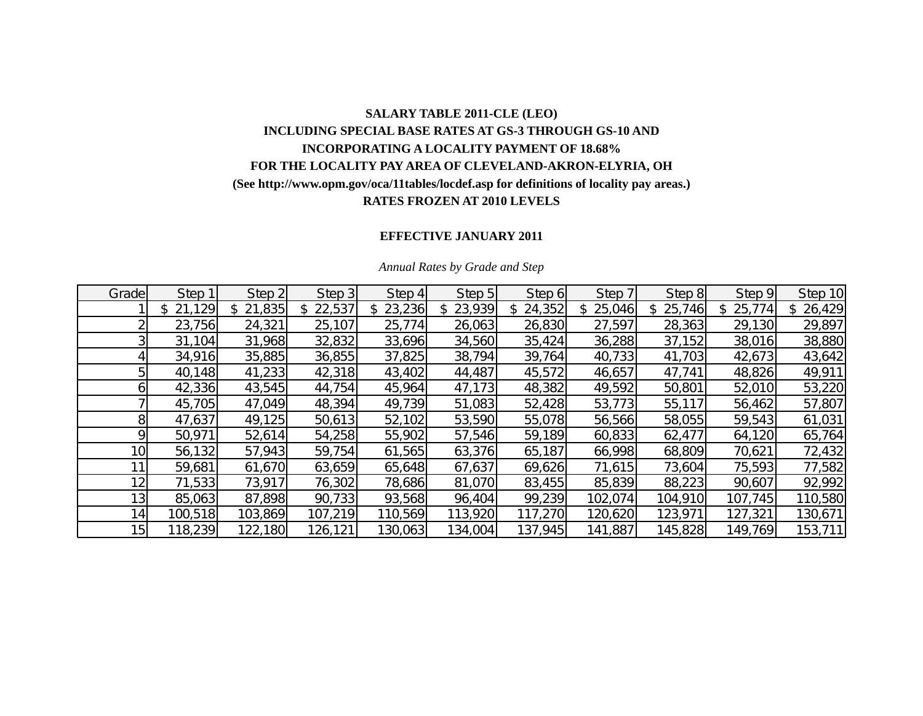# **SALARY TABLE 2011-CLE (LEO) INCLUDING SPECIAL BASE RATES AT GS-3 THROUGH GS-10 AND INCORPORATING A LOCALITY PAYMENT OF 18.68% FOR THE LOCALITY PAY AREA OF CLEVELAND-AKRON-ELYRIA, OH (See http://www.opm.gov/oca/11tables/locdef.asp for definitions of locality pay areas.) RATES FROZEN AT 2010 LEVELS**

### **EFFECTIVE JANUARY 2011**

| Grade           | Step 1       | Step 2       | Step 3  | Step 4   | Step 5       | Step 6        | Step 7  | Step 8        | Step 9  | Step 10       |
|-----------------|--------------|--------------|---------|----------|--------------|---------------|---------|---------------|---------|---------------|
|                 | 21,129<br>\$ | 21,835<br>\$ | 22,537  | \$23,236 | 23,939<br>\$ | 24,352<br>\$. | 25,046  | 25,746<br>\$. | 25,774  | 26,429<br>\$. |
|                 | 23,756       | 24,321       | 25,107  | 25,774   | 26,063       | 26,830        | 27,597  | 28,363        | 29,130  | 29,897        |
|                 | 31,104       | 31,968       | 32,832  | 33,696   | 34,560       | 35,424        | 36,288  | 37,152        | 38,016  | 38,880        |
|                 | 34,916       | 35,885       | 36,855  | 37,825   | 38,794       | 39,764        | 40,733  | 41,703        | 42,673  | 43,642        |
|                 | 40,148       | 41,233       | 42,318  | 43,402   | 44,487       | 45,572        | 46,657  | 47,741        | 48,826  | 49,911        |
|                 | 42,336       | 43,545       | 44,754  | 45,964   | 47,173       | 48,382        | 49,592  | 50,801        | 52,010  | 53,220        |
|                 | 45,705       | 47,049       | 48,394  | 49,739   | 51,083       | 52,428        | 53,773  | 55,117        | 56,462  | 57,807        |
| 8               | 47,637       | 49,125       | 50,613  | 52,102   | 53,590       | 55,078        | 56,566  | 58,055        | 59,543  | 61,031        |
| Q               | 50,971       | 52,614       | 54,258  | 55,902   | 57,546       | 59,189        | 60,833  | 62,477        | 64,120  | 65,764        |
| 10 <sub>l</sub> | 56,132       | 57,943       | 59,754  | 61,565   | 63,376       | 65,187        | 66,998  | 68,809        | 70,621  | 72,432        |
|                 | 59,681       | 61,670       | 63,659  | 65,648   | 67,637       | 69,626        | 71,615  | 73,604        | 75,593  | 77,582        |
| 12 <sub>1</sub> | 71,533       | 73,917       | 76,302  | 78,686   | 81,070       | 83,455        | 85,839  | 88,223        | 90,607  | 92,992        |
| 13 <sub>l</sub> | 85,063       | 87,898       | 90,733  | 93,568   | 96,404       | 99,239        | 102,074 | 104,910       | 107,745 | 110,580       |
| 14 <sub>l</sub> | 100,518      | 103,869      | 107,219 | 110,569  | 113,920      | 117,270       | 120,620 | 123,971       | 127,321 | 130,671       |
| 15              | 118,239      | 122,180      | 126,121 | 130,063  | 134,004      | 137,945       | 141,887 | 145,828       | 149,769 | 153,711       |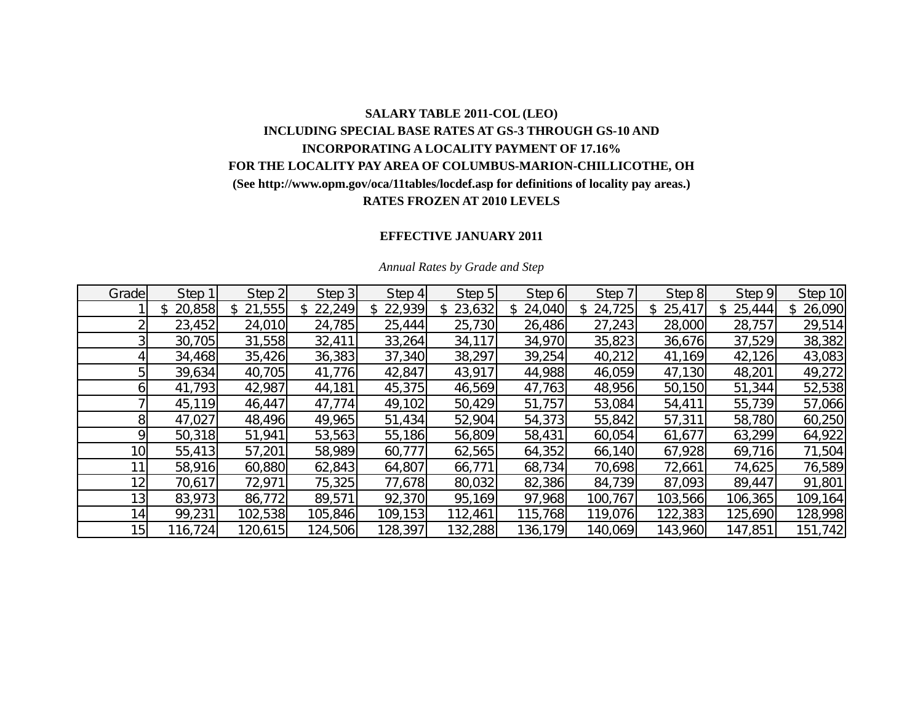# **SALARY TABLE 2011-COL (LEO) INCLUDING SPECIAL BASE RATES AT GS-3 THROUGH GS-10 AND INCORPORATING A LOCALITY PAYMENT OF 17.16% FOR THE LOCALITY PAY AREA OF COLUMBUS-MARION-CHILLICOTHE, OH (See http://www.opm.gov/oca/11tables/locdef.asp for definitions of locality pay areas.) RATES FROZEN AT 2010 LEVELS**

### **EFFECTIVE JANUARY 2011**

| Grade           | Step 1       | Step 2       | Step 3  | Step 4   | Step 5  | Step 6       | Step 7  | Step 8  | Step 9  | Step 10       |
|-----------------|--------------|--------------|---------|----------|---------|--------------|---------|---------|---------|---------------|
|                 | 20,858<br>\$ | 21,555<br>\$ | 22,249  | \$22,939 | 23,632  | 24,040<br>\$ | 24,725  | 25,417  | 25,444  | 26,090<br>\$. |
|                 | 23,452       | 24,010       | 24,785  | 25,444   | 25,730  | 26,486       | 27,243  | 28,000  | 28,757  | 29,514        |
|                 | 30,705       | 31,558       | 32,411  | 33,264   | 34,117  | 34,970       | 35,823  | 36,676  | 37,529  | 38,382        |
|                 | 34,468       | 35,426       | 36,383  | 37,340   | 38,297  | 39,254       | 40,212  | 41,169  | 42,126  | 43,083        |
|                 | 39,634       | 40,705       | 41,776  | 42,847   | 43,917  | 44,988       | 46,059  | 47,130  | 48,201  | 49,272        |
|                 | 41,793       | 42,987       | 44,181  | 45,375   | 46,569  | 47,763       | 48,956  | 50,150  | 51,344  | 52,538        |
|                 | 45,119       | 46,447       | 47,774  | 49,102   | 50,429  | 51,757       | 53,084  | 54,411  | 55,739  | 57,066        |
| 8               | 47,027       | 48,496       | 49,965  | 51,434   | 52,904  | 54,373       | 55,842  | 57,311  | 58,780  | 60,250        |
| Q               | 50,318       | 51,941       | 53,563  | 55,186   | 56,809  | 58,431       | 60,054  | 61,677  | 63,299  | 64,922        |
| 10 <sub>l</sub> | 55,413       | 57,201       | 58,989  | 60,777   | 62,565  | 64,352       | 66,140  | 67,928  | 69,716  | 71,504        |
|                 | 58,916       | 60,880       | 62,843  | 64,807   | 66,771  | 68,734       | 70,698  | 72,661  | 74,625  | 76,589        |
| 12 <sub>1</sub> | 70,617       | 72,971       | 75,325  | 77,678   | 80,032  | 82,386       | 84,739  | 87,093  | 89,447  | 91,801        |
| 13 <sub>l</sub> | 83,973       | 86,772       | 89,571  | 92,370   | 95,169  | 97,968       | 100,767 | 103,566 | 106,365 | 109,164       |
| 14              | 99,231       | 102,538      | 105,846 | 109,153  | 112,461 | 115,768      | 119,076 | 122,383 | 125,690 | 128,998       |
| 15 <sup>1</sup> | 116,724      | 120,615      | 124,506 | 128,397  | 132,288 | 136,179      | 140,069 | 143,960 | 147,851 | 151,742       |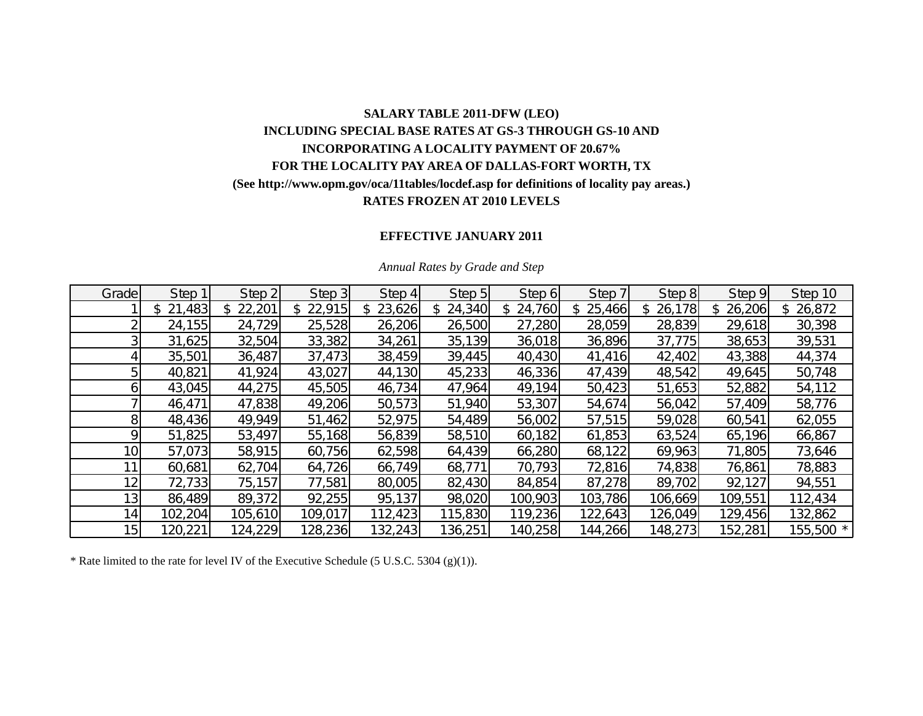# **SALARY TABLE 2011-DFW (LEO) INCLUDING SPECIAL BASE RATES AT GS-3 THROUGH GS-10 AND INCORPORATING A LOCALITY PAYMENT OF 20.67% FOR THE LOCALITY PAY AREA OF DALLAS-FORT WORTH, TX (See http://www.opm.gov/oca/11tables/locdef.asp for definitions of locality pay areas.) RATES FROZEN AT 2010 LEVELS**

## **EFFECTIVE JANUARY 2011**

| Grade           | Step 1       | Step 2       | Step 3  | Step 4        | Step 5       | Step 6  | Step 7        | Step 8        | Step 9  | Step 10   |
|-----------------|--------------|--------------|---------|---------------|--------------|---------|---------------|---------------|---------|-----------|
|                 | 21,483<br>\$ | 22,201<br>\$ | 22,915  | 23,626<br>\$. | 24,340<br>\$ | 24,760  | 25,466<br>\$. | 26,178<br>\$. | 26,206  | \$26,872  |
|                 | 24,155       | 24,729       | 25,528  | 26,206        | 26,500       | 27,280  | 28,059        | 28,839        | 29,618  | 30,398    |
|                 | 31,625       | 32,504       | 33,382  | 34,261        | 35,139       | 36,018  | 36,896        | 37,775        | 38,653  | 39,531    |
|                 | 35,501       | 36,487       | 37,473  | 38,459        | 39,445       | 40,430  | 41,416        | 42,402        | 43,388  | 44,374    |
|                 | 40,821       | 41,924       | 43,027  | 44,130        | 45,233       | 46,336  | 47,439        | 48,542        | 49,645  | 50,748    |
| n               | 43,045       | 44,275       | 45,505  | 46,734        | 47,964       | 49,194  | 50,423        | 51,653        | 52,882  | 54,112    |
|                 | 46,471       | 47,838       | 49,206  | 50,573        | 51,940       | 53,307  | 54,674        | 56,042        | 57,409  | 58,776    |
| 8               | 48,436       | 49,949       | 51,462  | 52,975        | 54,489       | 56,002  | 57,515        | 59,028        | 60,541  | 62,055    |
| Ο               | 51,825       | 53,497       | 55,168  | 56,839        | 58,510       | 60,182  | 61,853        | 63,524        | 65,196  | 66,867    |
| 10 <sub>1</sub> | 57,073       | 58,915       | 60,756  | 62,598        | 64,439       | 66,280  | 68,122        | 69,963        | 71,805  | 73,646    |
|                 | 60,681       | 62,704       | 64,726  | 66,749        | 68,771       | 70,793  | 72,816        | 74,838        | 76,861  | 78,883    |
| 12 <sub>1</sub> | 72,733       | 75,157       | 77,581  | 80,005        | 82,430       | 84,854  | 87,278        | 89,702        | 92,127  | 94,551    |
| 13 <sub>1</sub> | 86,489       | 89,372       | 92,255  | 95,137        | 98,020       | 100,903 | 103,786       | 106,669       | 109,551 | 112,434   |
| 14 <sub>1</sub> | 102,204      | 105,610      | 109,017 | 112,423       | 115,830      | 119,236 | 122,643       | 126,049       | 129,456 | 132,862   |
| 15              | 120,221      | 124,229      | 128,236 | 132,243       | 136,251      | 140,258 | 144,266       | 148,273       | 152,281 | 155,500 * |

#### *Annual Rates by Grade and Step*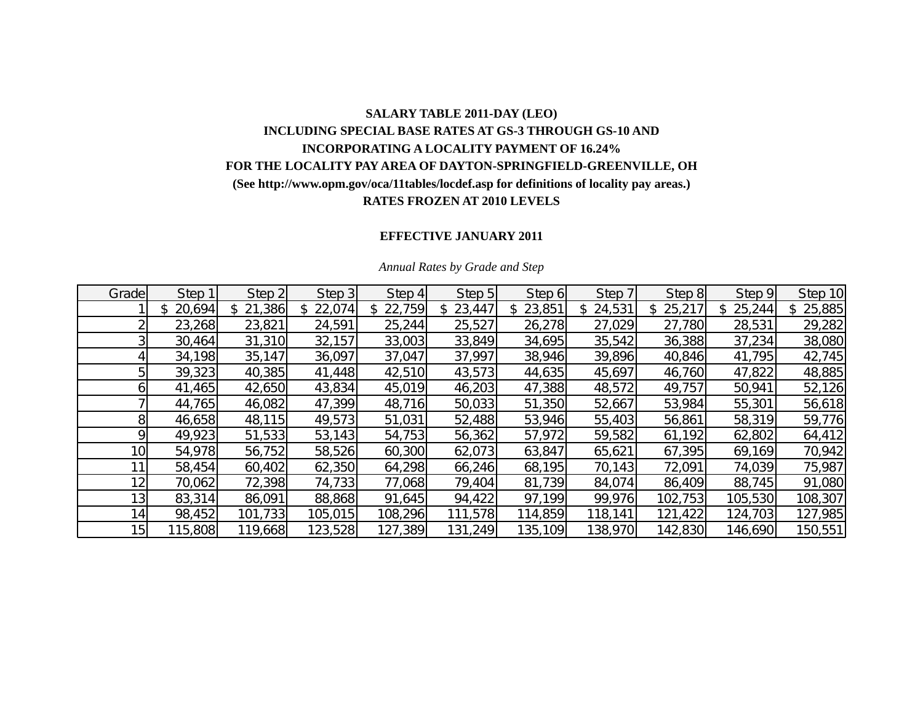## **SALARY TABLE 2011-DAY (LEO) INCLUDING SPECIAL BASE RATES AT GS-3 THROUGH GS-10 AND INCORPORATING A LOCALITY PAYMENT OF 16.24% FOR THE LOCALITY PAY AREA OF DAYTON-SPRINGFIELD-GREENVILLE, OH (See http://www.opm.gov/oca/11tables/locdef.asp for definitions of locality pay areas.) RATES FROZEN AT 2010 LEVELS**

## **EFFECTIVE JANUARY 2011**

| Grade           | Step 1       | Step 2        | Step 3   | Step 4   | Step 5       | Step 6        | Step 7  | Step 8        | Step 9  | Step 10       |
|-----------------|--------------|---------------|----------|----------|--------------|---------------|---------|---------------|---------|---------------|
|                 | 20,694<br>\$ | 21,386<br>\$. | \$22,074 | \$22,759 | 23,447<br>\$ | 23,851<br>\$. | 24,531  | 25,217<br>\$. | 25,244  | 25,885<br>\$. |
|                 | 23,268       | 23,821        | 24,591   | 25,244   | 25,527       | 26,278        | 27,029  | 27,780        | 28,531  | 29,282        |
|                 | 30,464       | 31,310        | 32,157   | 33,003   | 33,849       | 34,695        | 35,542  | 36,388        | 37,234  | 38,080        |
|                 | 34,198       | 35,147        | 36,097   | 37,047   | 37,997       | 38,946        | 39,896  | 40,846        | 41,795  | 42,745        |
|                 | 39,323       | 40,385        | 41,448   | 42,510   | 43,573       | 44,635        | 45,697  | 46,760        | 47,822  | 48,885        |
|                 | 41,465       | 42,650        | 43,834   | 45,019   | 46,203       | 47,388        | 48,572  | 49,757        | 50,941  | 52,126        |
|                 | 44,765       | 46,082        | 47,399   | 48,716   | 50,033       | 51,350        | 52,667  | 53,984        | 55,301  | 56,618        |
| 81              | 46,658       | 48,115        | 49,573   | 51,031   | 52,488       | 53,946        | 55,403  | 56,861        | 58,319  | 59,776        |
| ΩI              | 49,923       | 51,533        | 53,143   | 54,753   | 56,362       | 57,972        | 59,582  | 61,192        | 62,802  | 64,412        |
| 10 <sub>l</sub> | 54,978       | 56,752        | 58,526   | 60,300   | 62,073       | 63,847        | 65,621  | 67,395        | 69,169  | 70,942        |
|                 | 58,454       | 60,402        | 62,350   | 64,298   | 66,246       | 68,195        | 70,143  | 72,091        | 74,039  | 75,987        |
| 12 <sub>1</sub> | 70,062       | 72,398        | 74,733   | 77,068   | 79,404       | 81,739        | 84,074  | 86,409        | 88,745  | 91,080        |
| 13 <sub>l</sub> | 83,314       | 86,091        | 88,868   | 91,645   | 94,422       | 97,199        | 99,976  | 102,753       | 105,530 | 108,307       |
| 14              | 98,452       | 101,733       | 105,015  | 108,296  | 111,578      | 114,859       | 118,141 | 121,422       | 124,703 | 127,985       |
| 15              | 115,808      | 119,668       | 123,528  | 127,389  | 131,249      | 135,109       | 138,970 | 142,830       | 146,690 | 150,551       |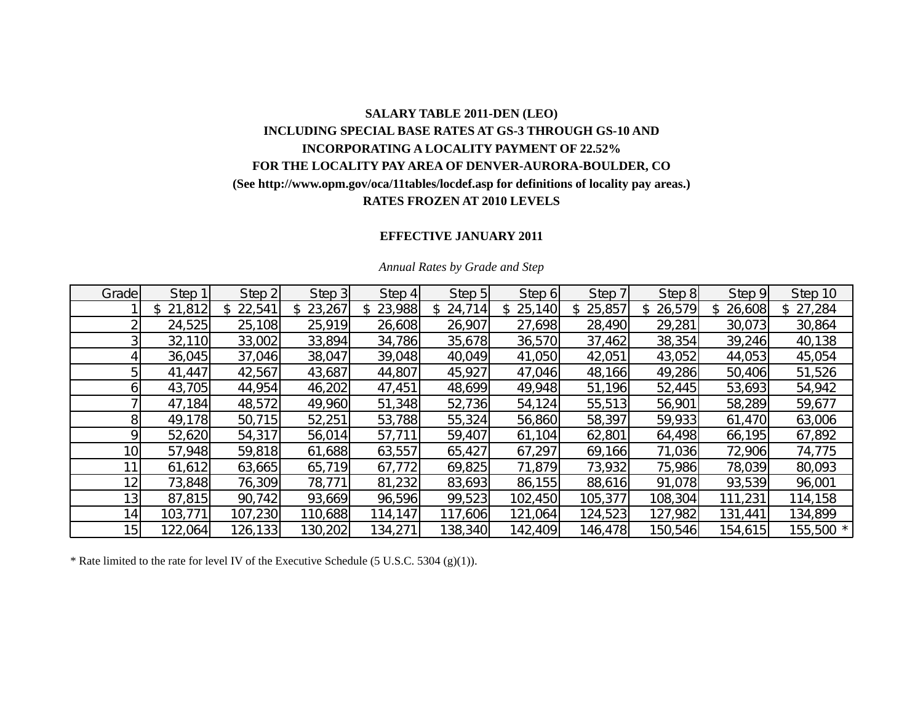# **SALARY TABLE 2011-DEN (LEO) INCLUDING SPECIAL BASE RATES AT GS-3 THROUGH GS-10 AND INCORPORATING A LOCALITY PAYMENT OF 22.52% FOR THE LOCALITY PAY AREA OF DENVER-AURORA-BOULDER, CO (See http://www.opm.gov/oca/11tables/locdef.asp for definitions of locality pay areas.) RATES FROZEN AT 2010 LEVELS**

## **EFFECTIVE JANUARY 2011**

| Grade           | Step 1   | Step 2   | Step 3       | Step 4        | Step 5                 | Step 6        | Step 7   | Step 8       | Step 9  | Step 10   |
|-----------------|----------|----------|--------------|---------------|------------------------|---------------|----------|--------------|---------|-----------|
|                 | \$21,812 | \$22,541 | 23,267<br>\$ | 23,988<br>\$. | 24,714<br>$\mathbb{S}$ | 25,140<br>\$. | \$25,857 | 26,579<br>S. | 26,608  | \$27,284  |
|                 | 24,525   | 25,108   | 25,919       | 26,608        | 26,907                 | 27,698        | 28,490   | 29,281       | 30,073  | 30,864    |
|                 | 32,110   | 33,002   | 33,894       | 34,786        | 35,678                 | 36,570        | 37,462   | 38,354       | 39,246  | 40,138    |
|                 | 36,045   | 37,046   | 38,047       | 39,048        | 40,049                 | 41,050        | 42,051   | 43,052       | 44,053  | 45,054    |
|                 | 41,447   | 42,567   | 43,687       | 44,807        | 45,927                 | 47,046        | 48,166   | 49,286       | 50,406  | 51,526    |
| O               | 43,705   | 44,954   | 46,202       | 47,451        | 48,699                 | 49,948        | 51,196   | 52,445       | 53,693  | 54,942    |
|                 | 47,184   | 48,572   | 49,960       | 51,348        | 52,736                 | 54,124        | 55,513   | 56,901       | 58,289  | 59,677    |
| 81              | 49,178   | 50,715   | 52,251       | 53,788        | 55,324                 | 56,860        | 58,397   | 59,933       | 61,470  | 63,006    |
| Ο               | 52,620   | 54,317   | 56,014       | 57,711        | 59,407                 | 61,104        | 62,801   | 64,498       | 66,195  | 67,892    |
| 10              | 57,948   | 59,818   | 61,688       | 63,557        | 65,427                 | 67,297        | 69,166   | 71,036       | 72,906  | 74,775    |
|                 | 61,612   | 63,665   | 65,719       | 67,772        | 69,825                 | 71,879        | 73,932   | 75,986       | 78,039  | 80,093    |
| 12 <sub>1</sub> | 73,848   | 76,309   | 78,771       | 81,232        | 83,693                 | 86,155        | 88,616   | 91,078       | 93,539  | 96,001    |
| 13 <sub>1</sub> | 87,815   | 90,742   | 93,669       | 96,596        | 99,523                 | 102,450       | 105,377  | 108,304      | 111,231 | 114,158   |
| 14 <sub>1</sub> | 103,771  | 107,230  | 110,688      | 114,147       | 117,606                | 121,064       | 124,523  | 127,982      | 131,441 | 134,899   |
| 15              | 122,064  | 126,133  | 130,202      | 134,271       | 138,340                | 142,409       | 146,478  | 150,546      | 154,615 | 155,500 * |

#### *Annual Rates by Grade and Step*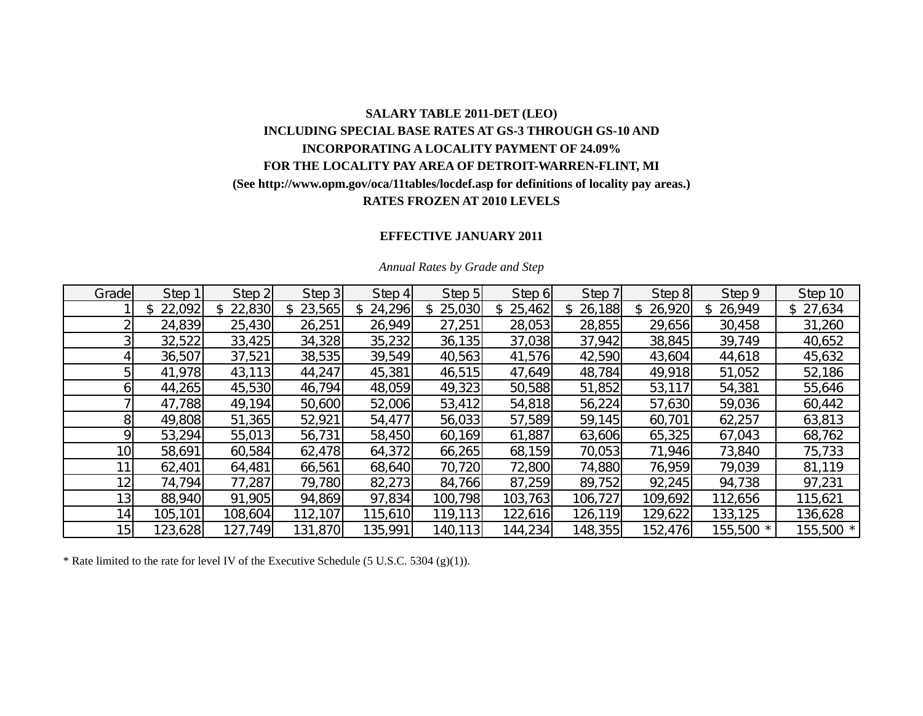# **SALARY TABLE 2011-DET (LEO) INCLUDING SPECIAL BASE RATES AT GS-3 THROUGH GS-10 AND INCORPORATING A LOCALITY PAYMENT OF 24.09% FOR THE LOCALITY PAY AREA OF DETROIT-WARREN-FLINT, MI (See http://www.opm.gov/oca/11tables/locdef.asp for definitions of locality pay areas.) RATES FROZEN AT 2010 LEVELS**

## **EFFECTIVE JANUARY 2011**

| Grade           | Step 1   | Step 2       | Step 3   | Step 4       | Step 5   | Step 6   | Step 7       | Step 8       | Step 9       | Step 10   |
|-----------------|----------|--------------|----------|--------------|----------|----------|--------------|--------------|--------------|-----------|
|                 | \$22,092 | 22,830<br>\$ | \$23,565 | 24,296<br>\$ | \$25,030 | \$25,462 | 26,188<br>\$ | 26,920<br>\$ | 26,949<br>\$ | \$27,634  |
|                 | 24,839   | 25,430       | 26,251   | 26,949       | 27,251   | 28,053   | 28,855       | 29,656       | 30,458       | 31,260    |
|                 | 32,522   | 33,425       | 34,328   | 35,232       | 36,135   | 37,038   | 37,942       | 38,845       | 39,749       | 40,652    |
|                 | 36,507   | 37,521       | 38,535   | 39,549       | 40,563   | 41,576   | 42,590       | 43,604       | 44,618       | 45,632    |
|                 | 41,978   | 43,113       | 44,247   | 45,381       | 46,515   | 47,649   | 48,784       | 49,918       | 51,052       | 52,186    |
| ы               | 44,265   | 45,530       | 46,794   | 48,059       | 49,323   | 50,588   | 51,852       | 53,117       | 54,381       | 55,646    |
|                 | 47,788   | 49,194       | 50,600   | 52,006       | 53,412   | 54,818   | 56,224       | 57,630       | 59,036       | 60,442    |
| 81              | 49,808   | 51,365       | 52,921   | 54,477       | 56,033   | 57,589   | 59,145       | 60,701       | 62,257       | 63,813    |
| Q.              | 53,294   | 55,013       | 56,731   | 58,450       | 60,169   | 61,887   | 63,606       | 65,325       | 67,043       | 68,762    |
| 10 <sub>l</sub> | 58,691   | 60,584       | 62,478   | 64,372       | 66,265   | 68,159   | 70,053       | 71,946       | 73,840       | 75,733    |
|                 | 62,401   | 64,481       | 66,561   | 68,640       | 70,720   | 72,800   | 74,880       | 76,959       | 79,039       | 81,119    |
| 12              | 74,794   | 77,287       | 79,780   | 82,273       | 84,766   | 87,259   | 89,752       | 92,245       | 94,738       | 97,231    |
| 13              | 88,940   | 91,905       | 94,869   | 97,834       | 100,798  | 103,763  | 106,727      | 109,692      | 112,656      | 115,621   |
| 14              | 105,101  | 108,604      | 112,107  | 115,610      | 119,113  | 122,616  | 126,119      | 129,622      | 133,125      | 136,628   |
| 15              | 123,628  | 127,749      | 131,870  | 135,991      | 140,113  | 144,234  | 148,355      | 152,476      | 155,500 *    | 155,500 * |

#### *Annual Rates by Grade and Step*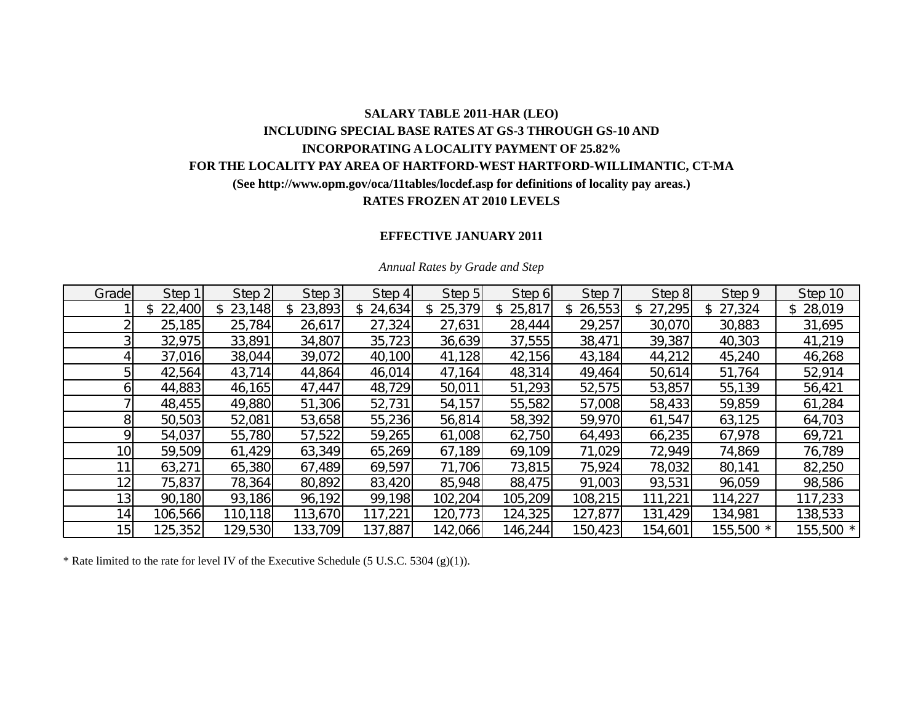## **SALARY TABLE 2011-HAR (LEO) INCLUDING SPECIAL BASE RATES AT GS-3 THROUGH GS-10 AND INCORPORATING A LOCALITY PAYMENT OF 25.82% FOR THE LOCALITY PAY AREA OF HARTFORD-WEST HARTFORD-WILLIMANTIC, CT-MA (See http://www.opm.gov/oca/11tables/locdef.asp for definitions of locality pay areas.) RATES FROZEN AT 2010 LEVELS**

## **EFFECTIVE JANUARY 2011**

| Grade           | Step 1  | Step 2  | Step 3  | Step 4  | Step 5   | Step 6        | Step 7        | Step 8  | Step 9    | Step 10      |
|-----------------|---------|---------|---------|---------|----------|---------------|---------------|---------|-----------|--------------|
|                 | 22,400  | 23,148  | 23,893  | 24,634  | \$25,379 | 25,817<br>\$. | 26,553<br>\$. | 27,295  | 27,324    | 28,019<br>\$ |
|                 | 25,185  | 25,784  | 26,617  | 27,324  | 27,631   | 28,444        | 29,257        | 30,070  | 30,883    | 31,695       |
|                 | 32,975  | 33,891  | 34,807  | 35,723  | 36,639   | 37,555        | 38,471        | 39,387  | 40,303    | 41,219       |
|                 | 37,016  | 38,044  | 39,072  | 40,100  | 41,128   | 42,156        | 43,184        | 44,212  | 45,240    | 46,268       |
| 5               | 42,564  | 43,714  | 44,864  | 46,014  | 47,164   | 48,314        | 49,464        | 50,614  | 51,764    | 52,914       |
| ы               | 44,883  | 46,165  | 47,447  | 48,729  | 50,011   | 51,293        | 52,575        | 53,857  | 55,139    | 56,421       |
|                 | 48,455  | 49,880  | 51,306  | 52,731  | 54,157   | 55,582        | 57,008        | 58,433  | 59,859    | 61,284       |
| 81              | 50,503  | 52,081  | 53,658  | 55,236  | 56,814   | 58,392        | 59,970        | 61,547  | 63,125    | 64,703       |
| Q.              | 54,037  | 55,780  | 57,522  | 59,265  | 61,008   | 62,750        | 64,493        | 66,235  | 67,978    | 69,721       |
| 10 <sub>1</sub> | 59,509  | 61,429  | 63,349  | 65,269  | 67,189   | 69,109        | 71,029        | 72,949  | 74,869    | 76,789       |
|                 | 63,271  | 65,380  | 67,489  | 69,597  | 71,706   | 73,815        | 75,924        | 78,032  | 80,141    | 82,250       |
| 12              | 75,837  | 78,364  | 80,892  | 83,420  | 85,948   | 88,475        | 91,003        | 93,531  | 96,059    | 98,586       |
| 13              | 90,180  | 93,186  | 96,192  | 99,198  | 102,204  | 105,209       | 108,215       | 111,221 | 114,227   | 117,233      |
| 14              | 106,566 | 110,118 | 113,670 | 117,221 | 120,773  | 124,325       | 127,877       | 131,429 | 134,981   | 138,533      |
| 15              | 125,352 | 129,530 | 133,709 | 137,887 | 142,066  | 146,244       | 150,423       | 154,601 | 155,500 * | 155,500 *    |

#### *Annual Rates by Grade and Step*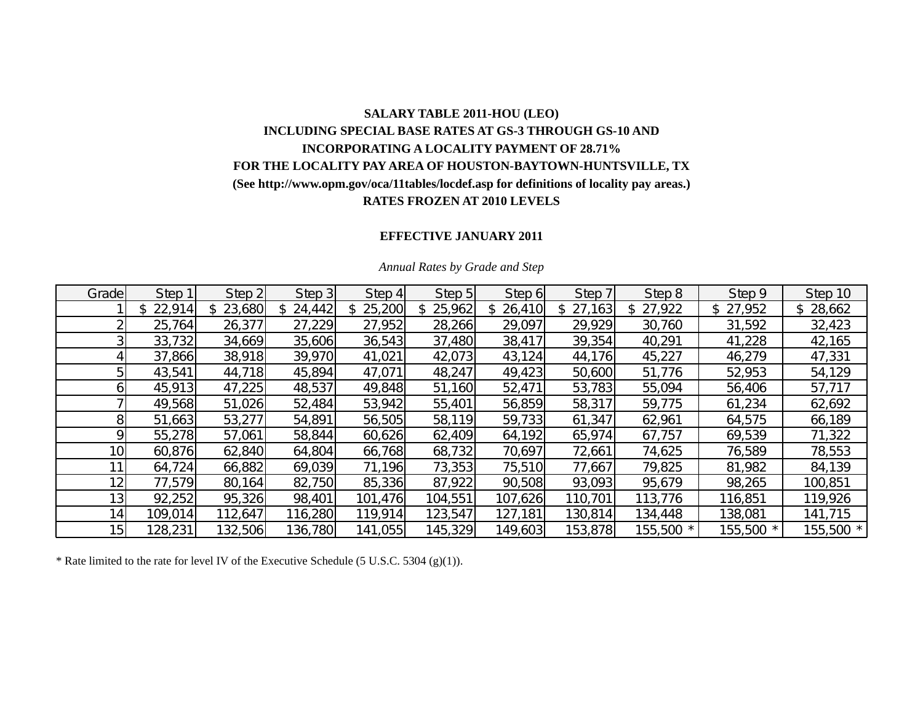# **SALARY TABLE 2011-HOU (LEO) INCLUDING SPECIAL BASE RATES AT GS-3 THROUGH GS-10 AND INCORPORATING A LOCALITY PAYMENT OF 28.71% FOR THE LOCALITY PAY AREA OF HOUSTON-BAYTOWN-HUNTSVILLE, TX (See http://www.opm.gov/oca/11tables/locdef.asp for definitions of locality pay areas.) RATES FROZEN AT 2010 LEVELS**

### **EFFECTIVE JANUARY 2011**

| Grade           | Step 1   | Step 2   | Step 3   | Step 4   | Step 5        | Step 6   | Step 7   | Step 8       | Step 9    | Step 10   |
|-----------------|----------|----------|----------|----------|---------------|----------|----------|--------------|-----------|-----------|
|                 | \$22,914 | \$23,680 | \$24,442 | \$25,200 | 25,962<br>\$. | \$26,410 | \$27,163 | 27,922<br>\$ | \$27,952  | \$28,662  |
|                 | 25,764   | 26,377   | 27,229   | 27,952   | 28,266        | 29,097   | 29,929   | 30,760       | 31,592    | 32,423    |
|                 | 33,732   | 34,669   | 35,606   | 36,543   | 37,480        | 38,417   | 39,354   | 40,291       | 41,228    | 42,165    |
|                 | 37,866   | 38,918   | 39,970   | 41,021   | 42,073        | 43,124   | 44,176   | 45,227       | 46,279    | 47,331    |
|                 | 43,541   | 44,718   | 45,894   | 47,071   | 48,247        | 49,423   | 50,600   | 51,776       | 52,953    | 54,129    |
|                 | 45,913   | 47,225   | 48,537   | 49,848   | 51,160        | 52,471   | 53,783   | 55,094       | 56,406    | 57,717    |
|                 | 49,568   | 51,026   | 52,484   | 53,942   | 55,401        | 56,859   | 58,317   | 59,775       | 61,234    | 62,692    |
|                 | 51,663   | 53,277   | 54,891   | 56,505   | 58,119        | 59,733   | 61,347   | 62,961       | 64,575    | 66,189    |
|                 | 55,278   | 57,061   | 58,844   | 60,626   | 62,409        | 64,192   | 65,974   | 67,757       | 69,539    | 71,322    |
| 10              | 60,876   | 62,840   | 64,804   | 66,768   | 68,732        | 70,697   | 72,661   | 74,625       | 76,589    | 78,553    |
| 11              | 64,724   | 66,882   | 69,039   | 71,196   | 73,353        | 75,510   | 77,667   | 79,825       | 81,982    | 84,139    |
| 12              | 77,579   | 80,164   | 82,750   | 85,336   | 87,922        | 90,508   | 93,093   | 95,679       | 98,265    | 100,851   |
| 13 <sub>1</sub> | 92,252   | 95,326   | 98,401   | 101,476  | 104,551       | 107,626  | 110,701  | 113,776      | 116,851   | 119,926   |
| 14              | 109,014  | 112,647  | 116,280  | 119,914  | 123,547       | 127,181  | 130,814  | 134,448      | 138,081   | 141,715   |
| 15              | 128,231  | 132,506  | 136,780  | 141,055  | 145,329       | 149,603  | 153,878  | 155,500 *    | 155,500 * | 155,500 * |

#### *Annual Rates by Grade and Step*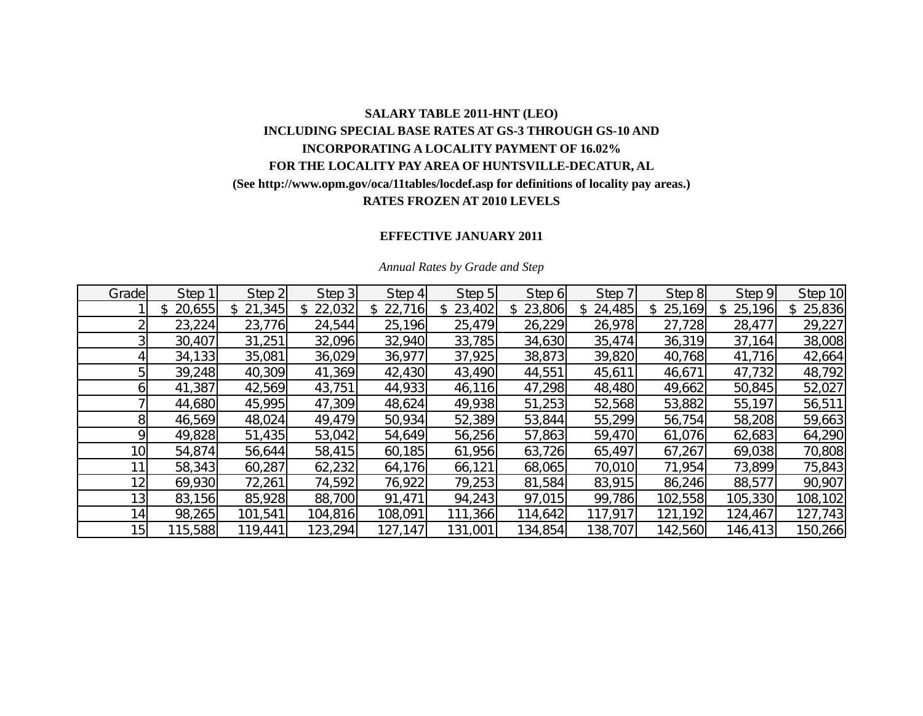# **SALARY TABLE 2011-HNT (LEO) INCLUDING SPECIAL BASE RATES AT GS-3 THROUGH GS-10 AND INCORPORATING A LOCALITY PAYMENT OF 16.02% FOR THE LOCALITY PAY AREA OF HUNTSVILLE-DECATUR, AL (See http://www.opm.gov/oca/11tables/locdef.asp for definitions of locality pay areas.) RATES FROZEN AT 2010 LEVELS**

## **EFFECTIVE JANUARY 2011**

| Grade           | Step 1       | Step 2       | Step 3  | Step 4   | Step 5  | Step 6   | Step 7  | Step 8  | Step 9  | Step 10      |
|-----------------|--------------|--------------|---------|----------|---------|----------|---------|---------|---------|--------------|
|                 | 20,655<br>\$ | 21,345<br>\$ | 22,032  | \$22,716 | 23,402  | \$23,806 | 24,485  | 25,169  | 25,196  | 25,836<br>\$ |
|                 | 23,224       | 23,776       | 24,544  | 25,196   | 25,479  | 26,229   | 26,978  | 27,728  | 28,477  | 29,227       |
|                 | 30,407       | 31,251       | 32,096  | 32,940   | 33,785  | 34,630   | 35,474  | 36,319  | 37,164  | 38,008       |
|                 | 34,133       | 35,081       | 36,029  | 36,977   | 37,925  | 38,873   | 39,820  | 40,768  | 41,716  | 42,664       |
|                 | 39,248       | 40,309       | 41,369  | 42,430   | 43,490  | 44,551   | 45,611  | 46,671  | 47,732  | 48,792       |
|                 | 41,387       | 42,569       | 43,751  | 44,933   | 46,116  | 47,298   | 48,480  | 49,662  | 50,845  | 52,027       |
|                 | 44,680       | 45,995       | 47,309  | 48,624   | 49,938  | 51,253   | 52,568  | 53,882  | 55,197  | 56,511       |
| 81              | 46,569       | 48,024       | 49,479  | 50,934   | 52,389  | 53,844   | 55,299  | 56,754  | 58,208  | 59,663       |
| ΩI              | 49,828       | 51,435       | 53,042  | 54,649   | 56,256  | 57,863   | 59,470  | 61,076  | 62,683  | 64,290       |
| 10 <sub>l</sub> | 54,874       | 56,644       | 58,415  | 60,185   | 61,956  | 63,726   | 65,497  | 67,267  | 69,038  | 70,808       |
|                 | 58,343       | 60,287       | 62,232  | 64,176   | 66,121  | 68,065   | 70,010  | 71,954  | 73,899  | 75,843       |
| 12 <sub>1</sub> | 69,930       | 72,261       | 74,592  | 76,922   | 79,253  | 81,584   | 83,915  | 86,246  | 88,577  | 90,907       |
| 13 <sub>l</sub> | 83,156       | 85,928       | 88,700  | 91,471   | 94,243  | 97,015   | 99,786  | 102,558 | 105,330 | 108,102      |
| 14              | 98,265       | 101,541      | 104,816 | 108,091  | 111,366 | 114,642  | 117,917 | 121,192 | 124,467 | 127,743      |
| 15              | 115,588      | 119,441      | 123,294 | 127,147  | 131,001 | 134,854  | 138,707 | 142,560 | 146,413 | 150,266      |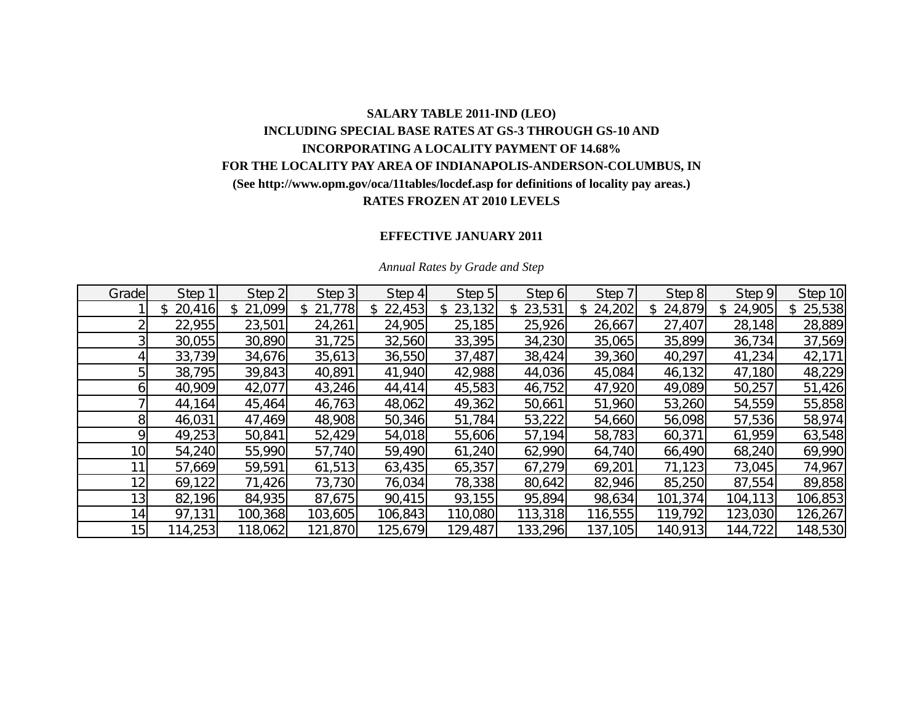## **SALARY TABLE 2011-IND (LEO) INCLUDING SPECIAL BASE RATES AT GS-3 THROUGH GS-10 AND INCORPORATING A LOCALITY PAYMENT OF 14.68% FOR THE LOCALITY PAY AREA OF INDIANAPOLIS-ANDERSON-COLUMBUS, IN (See http://www.opm.gov/oca/11tables/locdef.asp for definitions of locality pay areas.) RATES FROZEN AT 2010 LEVELS**

### **EFFECTIVE JANUARY 2011**

| Grade           | Step 1       | Step 2       | Step 3  | Step 4   | Step 5  | Step 6       | Step 7       | Step 8       | Step 9   | Step 10 |
|-----------------|--------------|--------------|---------|----------|---------|--------------|--------------|--------------|----------|---------|
|                 | 20,416<br>\$ | 21,099<br>\$ | 21,778  | \$22,453 | 23,132  | 23,531<br>S. | 24,202<br>\$ | 24,879<br>\$ | 24,905   | 25,538  |
|                 | 22,955       | 23,501       | 24,261  | 24,905   | 25,185  | 25,926       | 26,667       | 27,407       | 28,148   | 28,889  |
|                 | 30,055       | 30,890       | 31,725  | 32,560   | 33,395  | 34,230       | 35,065       | 35,899       | 36,734   | 37,569  |
|                 | 33,739       | 34,676       | 35,613  | 36,550   | 37,487  | 38,424       | 39,360       | 40,297       | 41,234   | 42,171  |
|                 | 38,795       | 39,843       | 40,891  | 41,940   | 42,988  | 44,036       | 45,084       | 46,132       | 47,180   | 48,229  |
|                 | 40,909       | 42,077       | 43,246  | 44,414   | 45,583  | 46,752       | 47,920       | 49,089       | 50,257   | 51,426  |
|                 | 44,164       | 45,464       | 46,763  | 48,062   | 49,362  | 50,661       | 51,960       | 53,260       | 54,559   | 55,858  |
| 8 <sup>1</sup>  | 46,031       | 47,469       | 48,908  | 50,346   | 51,784  | 53,222       | 54,660       | 56,098       | 57,536   | 58,974  |
| Q               | 49,253       | 50,841       | 52,429  | 54,018   | 55,606  | 57,194       | 58,783       | 60,371       | 61,959   | 63,548  |
| 10 <sup>1</sup> | 54,240       | 55,990       | 57,740  | 59,490   | 61,240  | 62,990       | 64,740       | 66,490       | 68,240   | 69,990  |
|                 | 57,669       | 59,591       | 61,513  | 63,435   | 65,357  | 67,279       | 69,201       | 71,123       | 73,045   | 74,967  |
| 12 <sub>1</sub> | 69,122       | 71,426       | 73,730  | 76,034   | 78,338  | 80,642       | 82,946       | 85,250       | 87,554   | 89,858  |
| 13 <sub>l</sub> | 82,196       | 84,935       | 87,675  | 90,415   | 93,155  | 95,894       | 98,634       | 101,374      | 104, 113 | 106,853 |
| 14              | 97,131       | 100,368      | 103,605 | 106,843  | 110,080 | 113,318      | 116,555      | 119,792      | 123,030  | 126,267 |
| 15              | 114,253      | 118,062      | 121,870 | 125,679  | 129,487 | 133,296      | 137,105      | 140,913      | 144,722  | 148,530 |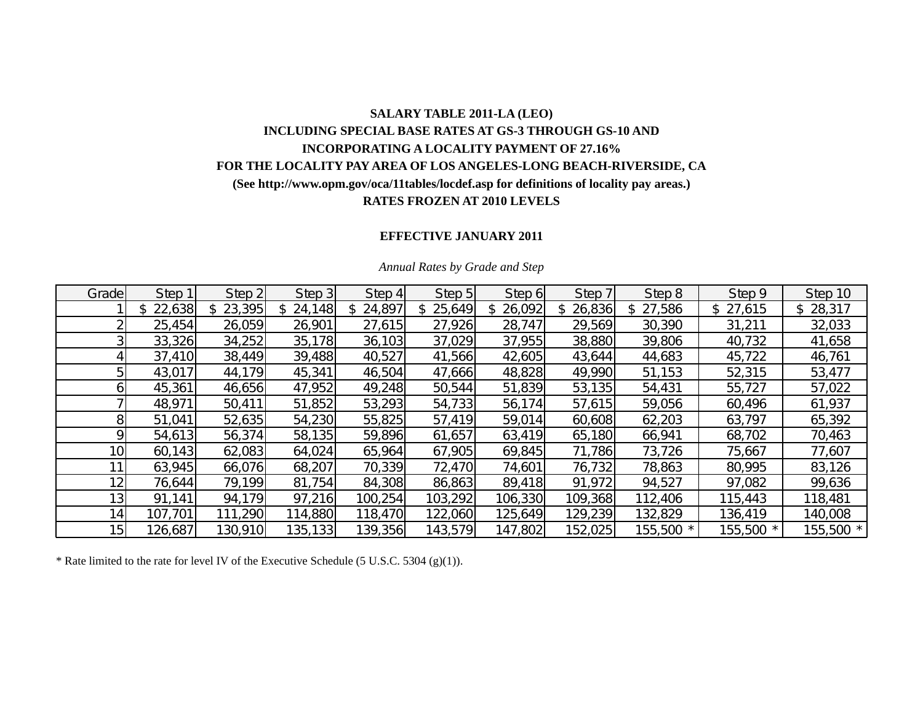## **SALARY TABLE 2011-LA (LEO) INCLUDING SPECIAL BASE RATES AT GS-3 THROUGH GS-10 AND INCORPORATING A LOCALITY PAYMENT OF 27.16% FOR THE LOCALITY PAY AREA OF LOS ANGELES-LONG BEACH-RIVERSIDE, CA (See http://www.opm.gov/oca/11tables/locdef.asp for definitions of locality pay areas.) RATES FROZEN AT 2010 LEVELS**

## **EFFECTIVE JANUARY 2011**

| Grade           | Step 1   | Step 2   | Step 3   | Step 4   | Step 5        | Step 6   | Step 7       | Step 8    | Step 9    | Step 10  |
|-----------------|----------|----------|----------|----------|---------------|----------|--------------|-----------|-----------|----------|
|                 | \$22,638 | \$23,395 | \$24,148 | \$24,897 | 25,649<br>\$. | \$26,092 | 26,836<br>\$ | \$27,586  | \$27,615  | \$28,317 |
|                 | 25,454   | 26,059   | 26,901   | 27,615   | 27,926        | 28,747   | 29,569       | 30,390    | 31,211    | 32,033   |
|                 | 33,326   | 34,252   | 35,178   | 36,103   | 37,029        | 37,955   | 38,880       | 39,806    | 40,732    | 41,658   |
|                 | 37,410   | 38,449   | 39,488   | 40,527   | 41,566        | 42,605   | 43,644       | 44,683    | 45,722    | 46,761   |
|                 | 43,017   | 44,179   | 45,341   | 46,504   | 47,666        | 48,828   | 49,990       | 51,153    | 52,315    | 53,477   |
|                 | 45,361   | 46,656   | 47,952   | 49,248   | 50,544        | 51,839   | 53,135       | 54,431    | 55,727    | 57,022   |
|                 | 48,971   | 50,411   | 51,852   | 53,293   | 54,733        | 56,174   | 57,615       | 59,056    | 60,496    | 61,937   |
|                 | 51,041   | 52,635   | 54,230   | 55,825   | 57,419        | 59,014   | 60,608       | 62,203    | 63,797    | 65,392   |
|                 | 54,613   | 56,374   | 58,135   | 59,896   | 61,657        | 63,419   | 65,180       | 66,941    | 68,702    | 70,463   |
| 10              | 60,143   | 62,083   | 64,024   | 65,964   | 67,905        | 69,845   | 71,786       | 73,726    | 75,667    | 77,607   |
| 11              | 63,945   | 66,076   | 68,207   | 70,339   | 72,470        | 74,601   | 76,732       | 78,863    | 80,995    | 83,126   |
| 12              | 76,644   | 79,199   | 81,754   | 84,308   | 86,863        | 89,418   | 91,972       | 94,527    | 97,082    | 99,636   |
| 13 <sub>1</sub> | 91,141   | 94,179   | 97,216   | 100,254  | 103,292       | 106,330  | 109,368      | 112,406   | 115,443   | 118,481  |
| 14              | 107,701  | 111,290  | 114,880  | 118,470  | 122,060       | 125,649  | 129,239      | 132,829   | 136,419   | 140,008  |
| 15              | 126,687  | 130,910  | 135, 133 | 139,356  | 143,579       | 147,802  | 152,025      | 155,500 * | 155,500 * | 155,500  |

#### *Annual Rates by Grade and Step*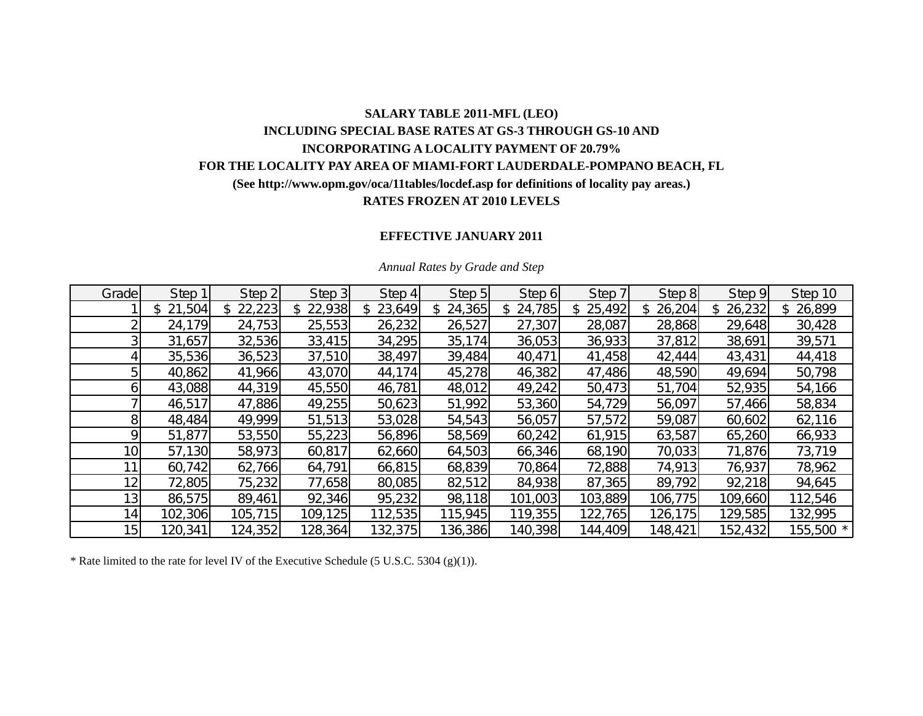## **SALARY TABLE 2011-MFL (LEO) INCLUDING SPECIAL BASE RATES AT GS-3 THROUGH GS-10 AND INCORPORATING A LOCALITY PAYMENT OF 20.79% FOR THE LOCALITY PAY AREA OF MIAMI-FORT LAUDERDALE-POMPANO BEACH, FL (See http://www.opm.gov/oca/11tables/locdef.asp for definitions of locality pay areas.) RATES FROZEN AT 2010 LEVELS**

## **EFFECTIVE JANUARY 2011**

| Grade           | Step 1   | Step 2       | Step 3       | Step 4        | Step 5       | Step 6       | Step 7   | Step 8       | Step 9  | Step 10   |
|-----------------|----------|--------------|--------------|---------------|--------------|--------------|----------|--------------|---------|-----------|
|                 | \$21,504 | 22,223<br>\$ | 22,938<br>\$ | 23,649<br>\$. | 24,365<br>S. | 24,785<br>\$ | \$25,492 | 26,204<br>S. | 26,232  | \$26,899  |
|                 | 24,179   | 24,753       | 25,553       | 26,232        | 26,527       | 27,307       | 28,087   | 28,868       | 29,648  | 30,428    |
|                 | 31,657   | 32,536       | 33,415       | 34,295        | 35,174       | 36,053       | 36,933   | 37,812       | 38,691  | 39,571    |
|                 | 35,536   | 36,523       | 37,510       | 38,497        | 39,484       | 40,471       | 41,458   | 42,444       | 43,431  | 44,418    |
|                 | 40,862   | 41,966       | 43,070       | 44,174        | 45,278       | 46,382       | 47,486   | 48,590       | 49,694  | 50,798    |
| n               | 43,088   | 44,319       | 45,550       | 46,781        | 48,012       | 49,242       | 50,473   | 51,704       | 52,935  | 54,166    |
|                 | 46,517   | 47,886       | 49,255       | 50,623        | 51,992       | 53,360       | 54,729   | 56,097       | 57,466  | 58,834    |
| 81              | 48,484   | 49,999       | 51,513       | 53,028        | 54,543       | 56,057       | 57,572   | 59,087       | 60,602  | 62,116    |
| Ω               | 51,877   | 53,550       | 55,223       | 56,896        | 58,569       | 60,242       | 61,915   | 63,587       | 65,260  | 66,933    |
| 10 <sub>1</sub> | 57,130   | 58,973       | 60,817       | 62,660        | 64,503       | 66,346       | 68,190   | 70,033       | 71,876  | 73,719    |
|                 | 60,742   | 62,766       | 64,791       | 66,815        | 68,839       | 70,864       | 72,888   | 74,913       | 76,937  | 78,962    |
| 12              | 72,805   | 75,232       | 77,658       | 80,085        | 82,512       | 84,938       | 87,365   | 89,792       | 92,218  | 94,645    |
| 13 <sub>1</sub> | 86,575   | 89,461       | 92,346       | 95,232        | 98,118       | 101,003      | 103,889  | 106,775      | 109,660 | 112,546   |
| 14 <sub>1</sub> | 102,306  | 105,715      | 109,125      | 112,535       | 115,945      | 119,355      | 122,765  | 126,175      | 129,585 | 132,995   |
| 15 <sub>l</sub> | 120,341  | 124,352      | 128,364      | 132,375       | 136,386      | 140,398      | 144,409  | 148,421      | 152,432 | 155,500 * |

#### *Annual Rates by Grade and Step*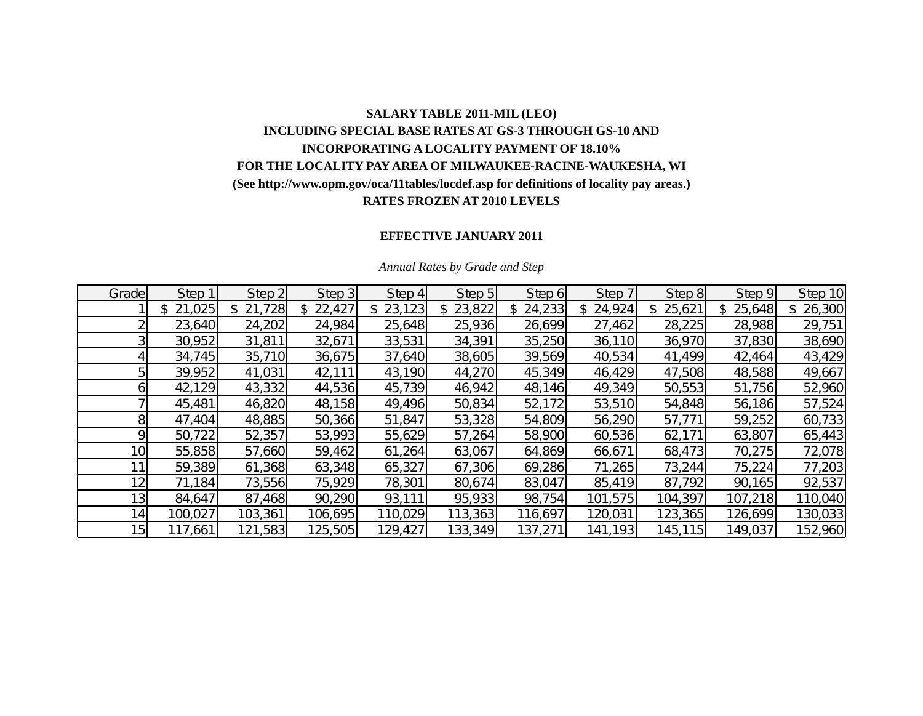# **SALARY TABLE 2011-MIL (LEO) INCLUDING SPECIAL BASE RATES AT GS-3 THROUGH GS-10 AND INCORPORATING A LOCALITY PAYMENT OF 18.10% FOR THE LOCALITY PAY AREA OF MILWAUKEE-RACINE-WAUKESHA, WI (See http://www.opm.gov/oca/11tables/locdef.asp for definitions of locality pay areas.) RATES FROZEN AT 2010 LEVELS**

### **EFFECTIVE JANUARY 2011**

| Grade           | Step 1           | Step 2       | Step 3  | Step 4  | Step 5       | Step 6        | Step 7  | Step 8        | Step 9       | Step 10       |
|-----------------|------------------|--------------|---------|---------|--------------|---------------|---------|---------------|--------------|---------------|
|                 | ,025<br>\$<br>21 | 21,728<br>\$ | 22,427  | 23,123  | 23,822<br>\$ | 24,233<br>\$. | 24,924  | 25,621<br>\$. | 25,648<br>\$ | 26,300<br>\$. |
|                 | 23,640           | 24,202       | 24,984  | 25,648  | 25,936       | 26,699        | 27,462  | 28,225        | 28,988       | 29,751        |
|                 | 30,952           | 31,811       | 32,671  | 33,531  | 34,391       | 35,250        | 36,110  | 36,970        | 37,830       | 38,690        |
|                 | 34,745           | 35,710       | 36,675  | 37,640  | 38,605       | 39,569        | 40,534  | 41,499        | 42,464       | 43,429        |
|                 | 39,952           | 41,031       | 42,111  | 43,190  | 44,270       | 45,349        | 46,429  | 47,508        | 48,588       | 49,667        |
|                 | 42,129           | 43,332       | 44,536  | 45,739  | 46,942       | 48,146        | 49,349  | 50,553        | 51,756       | 52,960        |
|                 | 45,481           | 46,820       | 48,158  | 49,496  | 50,834       | 52,172        | 53,510  | 54,848        | 56,186       | 57,524        |
| 8               | 47,404           | 48,885       | 50,366  | 51,847  | 53,328       | 54,809        | 56,290  | 57,771        | 59,252       | 60,733        |
| Q               | 50,722           | 52,357       | 53,993  | 55,629  | 57,264       | 58,900        | 60,536  | 62,171        | 63,807       | 65,443        |
| 10 <sub>l</sub> | 55,858           | 57,660       | 59,462  | 61,264  | 63,067       | 64,869        | 66,671  | 68,473        | 70,275       | 72,078        |
|                 | 59,389           | 61,368       | 63,348  | 65,327  | 67,306       | 69,286        | 71,265  | 73,244        | 75,224       | 77,203        |
| 12 <sub>1</sub> | 71,184           | 73,556       | 75,929  | 78,301  | 80,674       | 83,047        | 85,419  | 87,792        | 90,165       | 92,537        |
| 13 <sub>l</sub> | 84,647           | 87,468       | 90,290  | 93,111  | 95,933       | 98,754        | 101,575 | 104,397       | 107,218      | 110,040       |
| 14 <sub>l</sub> | 100,027          | 103,361      | 106,695 | 110,029 | 113,363      | 116,697       | 120,031 | 123,365       | 126,699      | 130,033       |
| 15              | 117,661          | 121,583      | 125,505 | 129,427 | 133,349      | 137,271       | 141,193 | 145,115       | 149,037      | 152,960       |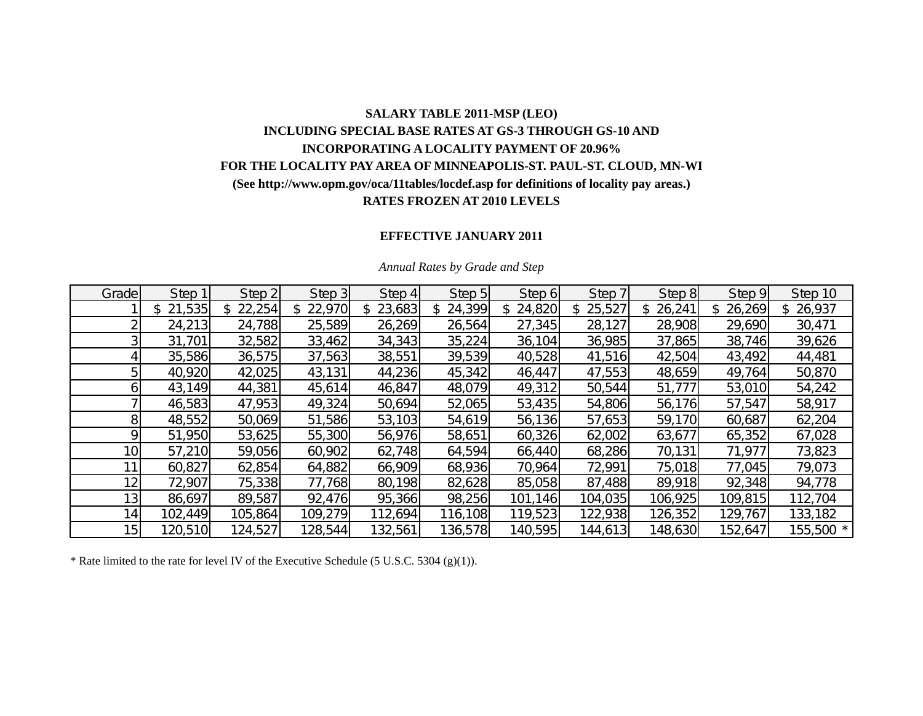# **SALARY TABLE 2011-MSP (LEO) INCLUDING SPECIAL BASE RATES AT GS-3 THROUGH GS-10 AND INCORPORATING A LOCALITY PAYMENT OF 20.96% FOR THE LOCALITY PAY AREA OF MINNEAPOLIS-ST. PAUL-ST. CLOUD, MN-WI (See http://www.opm.gov/oca/11tables/locdef.asp for definitions of locality pay areas.) RATES FROZEN AT 2010 LEVELS**

### **EFFECTIVE JANUARY 2011**

| Grade           | Step 1       | Step 2       | Step 3  | Step 4        | Step 5       | Step 6  | Step 7        | Step 8        | Step 9  | Step 10   |
|-----------------|--------------|--------------|---------|---------------|--------------|---------|---------------|---------------|---------|-----------|
|                 | 21,535<br>\$ | 22,254<br>\$ | 22,970  | 23,683<br>\$. | 24,399<br>\$ | 24,820  | 25,527<br>\$. | 26,241<br>\$. | 26,269  | \$26,937  |
|                 | 24,213       | 24,788       | 25,589  | 26,269        | 26,564       | 27,345  | 28,127        | 28,908        | 29,690  | 30,471    |
|                 | 31,701       | 32,582       | 33,462  | 34,343        | 35,224       | 36,104  | 36,985        | 37,865        | 38,746  | 39,626    |
|                 | 35,586       | 36,575       | 37,563  | 38,551        | 39,539       | 40,528  | 41,516        | 42,504        | 43,492  | 44,481    |
|                 | 40,920       | 42,025       | 43,131  | 44,236        | 45,342       | 46,447  | 47,553        | 48,659        | 49,764  | 50,870    |
| n               | 43,149       | 44,381       | 45,614  | 46,847        | 48,079       | 49,312  | 50,544        | 51,777        | 53,010  | 54,242    |
|                 | 46,583       | 47,953       | 49,324  | 50,694        | 52,065       | 53,435  | 54,806        | 56,176        | 57,547  | 58,917    |
| 81              | 48,552       | 50,069       | 51,586  | 53,103        | 54,619       | 56,136  | 57,653        | 59,170        | 60,687  | 62,204    |
| Ω               | 51,950       | 53,625       | 55,300  | 56,976        | 58,651       | 60,326  | 62,002        | 63,677        | 65,352  | 67,028    |
| 10 <sub>1</sub> | 57,210       | 59,056       | 60,902  | 62,748        | 64,594       | 66,440  | 68,286        | 70,131        | 71,977  | 73,823    |
|                 | 60,827       | 62,854       | 64,882  | 66,909        | 68,936       | 70,964  | 72,991        | 75,018        | 77,045  | 79,073    |
| 12 <sub>1</sub> | 72,907       | 75,338       | 77,768  | 80,198        | 82,628       | 85,058  | 87,488        | 89,918        | 92,348  | 94,778    |
| 13 <sub>1</sub> | 86,697       | 89,587       | 92,476  | 95,366        | 98,256       | 101,146 | 104,035       | 106,925       | 109,815 | 112,704   |
| 14 <sub>1</sub> | 102,449      | 105,864      | 109,279 | 112,694       | 116,108      | 119,523 | 122,938       | 126,352       | 129,767 | 133,182   |
| 15              | 120,510      | 124,527      | 128,544 | 132,561       | 136,578      | 140,595 | 144,613       | 148,630       | 152,647 | 155,500 * |

#### *Annual Rates by Grade and Step*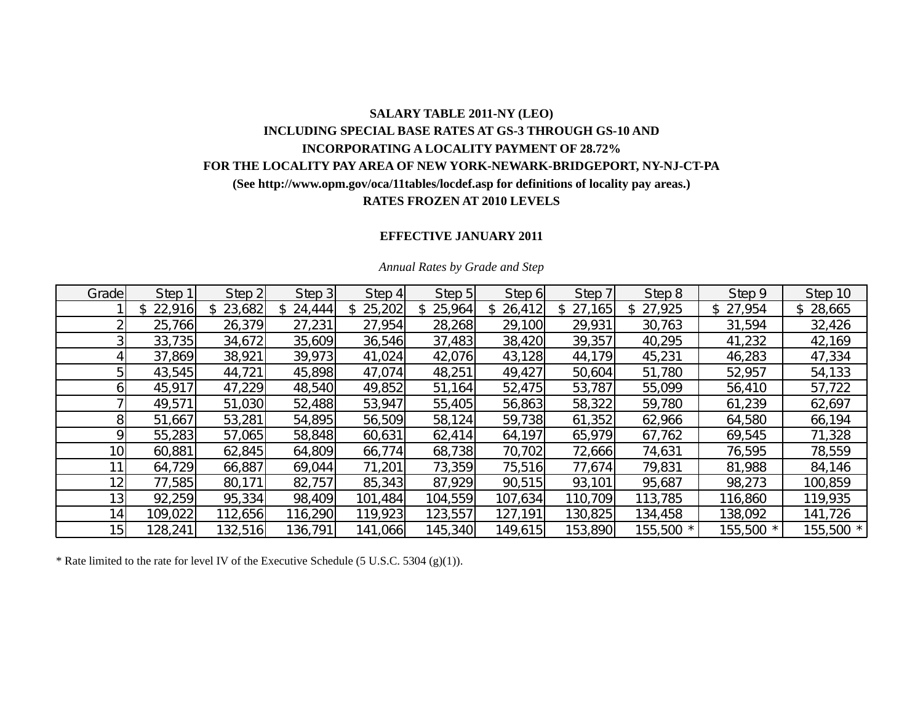## **SALARY TABLE 2011-NY (LEO) INCLUDING SPECIAL BASE RATES AT GS-3 THROUGH GS-10 AND INCORPORATING A LOCALITY PAYMENT OF 28.72% FOR THE LOCALITY PAY AREA OF NEW YORK-NEWARK-BRIDGEPORT, NY-NJ-CT-PA (See http://www.opm.gov/oca/11tables/locdef.asp for definitions of locality pay areas.) RATES FROZEN AT 2010 LEVELS**

### **EFFECTIVE JANUARY 2011**

| Grade           | Step 1   | Step 2   | Step 3   | Step 4   | Step 5        | Step 6   | Step 7   | Step 8       | Step 9    | Step 10   |
|-----------------|----------|----------|----------|----------|---------------|----------|----------|--------------|-----------|-----------|
|                 | \$22,916 | \$23,682 | \$24,444 | \$25,202 | 25,964<br>\$. | \$26,412 | \$27,165 | 27,925<br>\$ | \$27,954  | \$28,665  |
|                 | 25,766   | 26,379   | 27,231   | 27,954   | 28,268        | 29,100   | 29,931   | 30,763       | 31,594    | 32,426    |
|                 | 33,735   | 34,672   | 35,609   | 36,546   | 37,483        | 38,420   | 39,357   | 40,295       | 41,232    | 42,169    |
|                 | 37,869   | 38,921   | 39,973   | 41,024   | 42,076        | 43,128   | 44,179   | 45,231       | 46,283    | 47,334    |
|                 | 43,545   | 44,721   | 45,898   | 47,074   | 48,251        | 49,427   | 50,604   | 51,780       | 52,957    | 54,133    |
|                 | 45,917   | 47,229   | 48,540   | 49,852   | 51,164        | 52,475   | 53,787   | 55,099       | 56,410    | 57,722    |
|                 | 49,571   | 51,030   | 52,488   | 53,947   | 55,405        | 56,863   | 58,322   | 59,780       | 61,239    | 62,697    |
|                 | 51,667   | 53,281   | 54,895   | 56,509   | 58,124        | 59,738   | 61,352   | 62,966       | 64,580    | 66,194    |
|                 | 55,283   | 57,065   | 58,848   | 60,631   | 62,414        | 64,197   | 65,979   | 67,762       | 69,545    | 71,328    |
| 10 <sub>1</sub> | 60,881   | 62,845   | 64,809   | 66,774   | 68,738        | 70,702   | 72,666   | 74,631       | 76,595    | 78,559    |
| 11              | 64,729   | 66,887   | 69,044   | 71,201   | 73,359        | 75,516   | 77,674   | 79,831       | 81,988    | 84,146    |
| 12              | 77,585   | 80,171   | 82,757   | 85,343   | 87,929        | 90,515   | 93,101   | 95,687       | 98,273    | 100,859   |
| 13 <sub>1</sub> | 92,259   | 95,334   | 98,409   | 101,484  | 104,559       | 107,634  | 110,709  | 113,785      | 116,860   | 119,935   |
| 14              | 109,022  | 112,656  | 116,290  | 119,923  | 123,557       | 127,191  | 130,825  | 134,458      | 138,092   | 141,726   |
| 15              | 128,241  | 132,516  | 136,791  | 141,066  | 145,340       | 149,615  | 153,890  | 155,500 *    | 155,500 * | 155,500 * |

#### *Annual Rates by Grade and Step*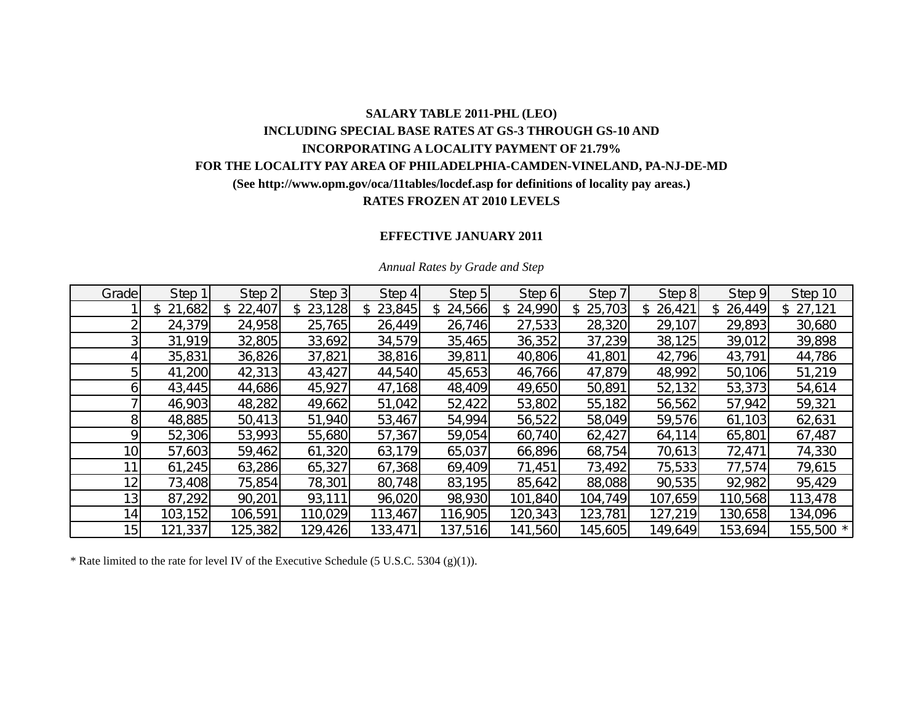## **SALARY TABLE 2011-PHL (LEO) INCLUDING SPECIAL BASE RATES AT GS-3 THROUGH GS-10 AND INCORPORATING A LOCALITY PAYMENT OF 21.79% FOR THE LOCALITY PAY AREA OF PHILADELPHIA-CAMDEN-VINELAND, PA-NJ-DE-MD (See http://www.opm.gov/oca/11tables/locdef.asp for definitions of locality pay areas.) RATES FROZEN AT 2010 LEVELS**

### **EFFECTIVE JANUARY 2011**

| Grade           | Step 1        | Step 2       | Step 3  | Step 4        | Step 5       | Step 6  | Step 7        | Step 8        | Step 9  | Step 10   |
|-----------------|---------------|--------------|---------|---------------|--------------|---------|---------------|---------------|---------|-----------|
|                 | 21,682<br>\$. | 22,407<br>\$ | 23,128  | 23,845<br>\$. | 24,566<br>\$ | 24,990  | 25,703<br>\$. | 26,421<br>\$. | 26,449  | \$27,121  |
|                 | 24,379        | 24,958       | 25,765  | 26,449        | 26,746       | 27,533  | 28,320        | 29,107        | 29,893  | 30,680    |
|                 | 31,919        | 32,805       | 33,692  | 34,579        | 35,465       | 36,352  | 37,239        | 38,125        | 39,012  | 39,898    |
|                 | 35,831        | 36,826       | 37,821  | 38,816        | 39,811       | 40,806  | 41,801        | 42,796        | 43,791  | 44,786    |
|                 | 41,200        | 42,313       | 43,427  | 44,540        | 45,653       | 46,766  | 47,879        | 48,992        | 50,106  | 51,219    |
| n               | 43,445        | 44,686       | 45,927  | 47,168        | 48,409       | 49,650  | 50,891        | 52,132        | 53,373  | 54,614    |
|                 | 46,903        | 48,282       | 49,662  | 51,042        | 52,422       | 53,802  | 55,182        | 56,562        | 57,942  | 59,321    |
| 81              | 48,885        | 50,413       | 51,940  | 53,467        | 54,994       | 56,522  | 58,049        | 59,576        | 61,103  | 62,631    |
| Ω               | 52,306        | 53,993       | 55,680  | 57,367        | 59,054       | 60,740  | 62,427        | 64,114        | 65,801  | 67,487    |
| 10 <sub>1</sub> | 57,603        | 59,462       | 61,320  | 63,179        | 65,037       | 66,896  | 68,754        | 70,613        | 72,471  | 74,330    |
|                 | 61,245        | 63,286       | 65,327  | 67,368        | 69,409       | 71,451  | 73,492        | 75,533        | 77,574  | 79,615    |
| 12 <sub>1</sub> | 73,408        | 75,854       | 78,301  | 80,748        | 83,195       | 85,642  | 88,088        | 90,535        | 92,982  | 95,429    |
| 13 <sub>1</sub> | 87,292        | 90,201       | 93,111  | 96,020        | 98,930       | 101,840 | 104,749       | 107,659       | 110,568 | 113,478   |
| 14.             | 103,152       | 106,591      | 110,029 | 113,467       | 116,905      | 120,343 | 123,781       | 127,219       | 130,658 | 134,096   |
| 15              | 121,337       | 125,382      | 129,426 | 133,471       | 137,516      | 141,560 | 145,605       | 149,649       | 153,694 | 155,500 * |

#### *Annual Rates by Grade and Step*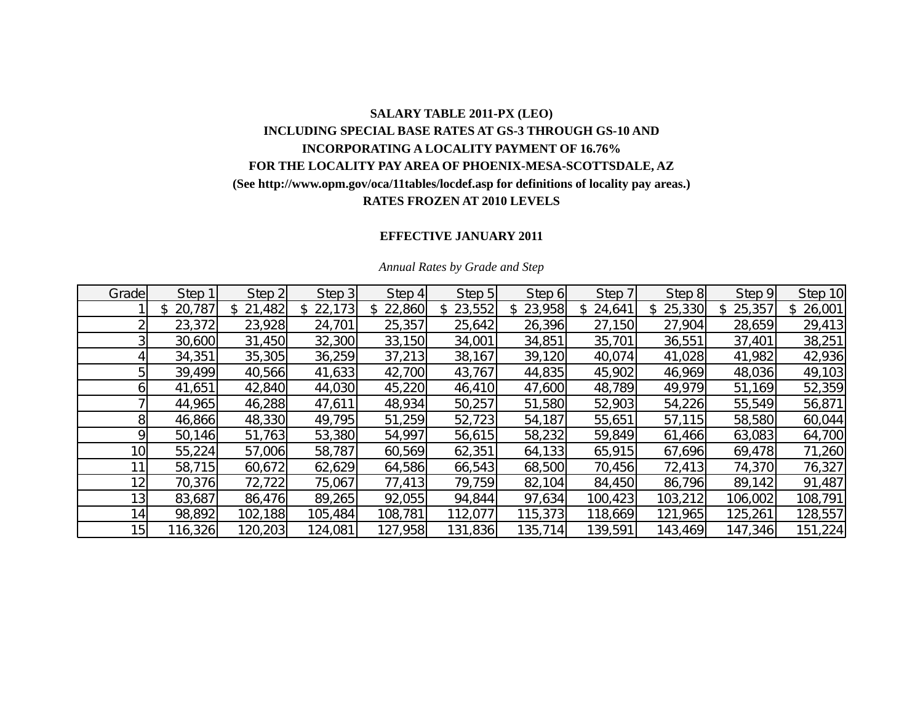# **SALARY TABLE 2011-PX (LEO) INCLUDING SPECIAL BASE RATES AT GS-3 THROUGH GS-10 AND INCORPORATING A LOCALITY PAYMENT OF 16.76% FOR THE LOCALITY PAY AREA OF PHOENIX-MESA-SCOTTSDALE, AZ (See http://www.opm.gov/oca/11tables/locdef.asp for definitions of locality pay areas.) RATES FROZEN AT 2010 LEVELS**

### **EFFECTIVE JANUARY 2011**

| Grade           | Step 1       | Step 2       | Step 3  | Step 4   | Step 5  | Step 6        | Step 7  | Step 8        | Step 9  | Step 10      |
|-----------------|--------------|--------------|---------|----------|---------|---------------|---------|---------------|---------|--------------|
|                 | 20,787<br>\$ | 21,482<br>\$ | 22,173  | \$22,860 | 23,552  | 23,958<br>\$. | 24,641  | 25,330<br>\$. | 25,357  | 26,001<br>\$ |
|                 | 23,372       | 23,928       | 24,701  | 25,357   | 25,642  | 26,396        | 27,150  | 27,904        | 28,659  | 29,413       |
|                 | 30,600       | 31,450       | 32,300  | 33,150   | 34,001  | 34,851        | 35,701  | 36,551        | 37,401  | 38,251       |
|                 | 34,351       | 35,305       | 36,259  | 37,213   | 38,167  | 39,120        | 40,074  | 41,028        | 41,982  | 42,936       |
|                 | 39,499       | 40,566       | 41,633  | 42,700   | 43,767  | 44,835        | 45,902  | 46,969        | 48,036  | 49,103       |
|                 | 41,651       | 42,840       | 44,030  | 45,220   | 46,410  | 47,600        | 48,789  | 49,979        | 51,169  | 52,359       |
|                 | 44,965       | 46,288       | 47,611  | 48,934   | 50,257  | 51,580        | 52,903  | 54,226        | 55,549  | 56,871       |
| 81              | 46,866       | 48,330       | 49,795  | 51,259   | 52,723  | 54,187        | 55,651  | 57,115        | 58,580  | 60,044       |
| ΩI              | 50,146       | 51,763       | 53,380  | 54,997   | 56,615  | 58,232        | 59,849  | 61,466        | 63,083  | 64,700       |
| 10 <sub>l</sub> | 55,224       | 57,006       | 58,787  | 60,569   | 62,351  | 64,133        | 65,915  | 67,696        | 69,478  | 71,260       |
|                 | 58,715       | 60,672       | 62,629  | 64,586   | 66,543  | 68,500        | 70,456  | 72,413        | 74,370  | 76,327       |
| 12 <sub>1</sub> | 70,376       | 72,722       | 75,067  | 77,413   | 79,759  | 82,104        | 84,450  | 86,796        | 89,142  | 91,487       |
| 13 <sub>l</sub> | 83,687       | 86,476       | 89,265  | 92,055   | 94,844  | 97,634        | 100,423 | 103,212       | 106,002 | 108,791      |
| 14              | 98,892       | 102,188      | 105,484 | 108,781  | 112,077 | 115,373       | 118,669 | 121,965       | 125,261 | 128,557      |
| 15 <sup>1</sup> | 116,326      | 120,203      | 124,081 | 127,958  | 131,836 | 135,714       | 139,591 | 143,469       | 147,346 | 151,224      |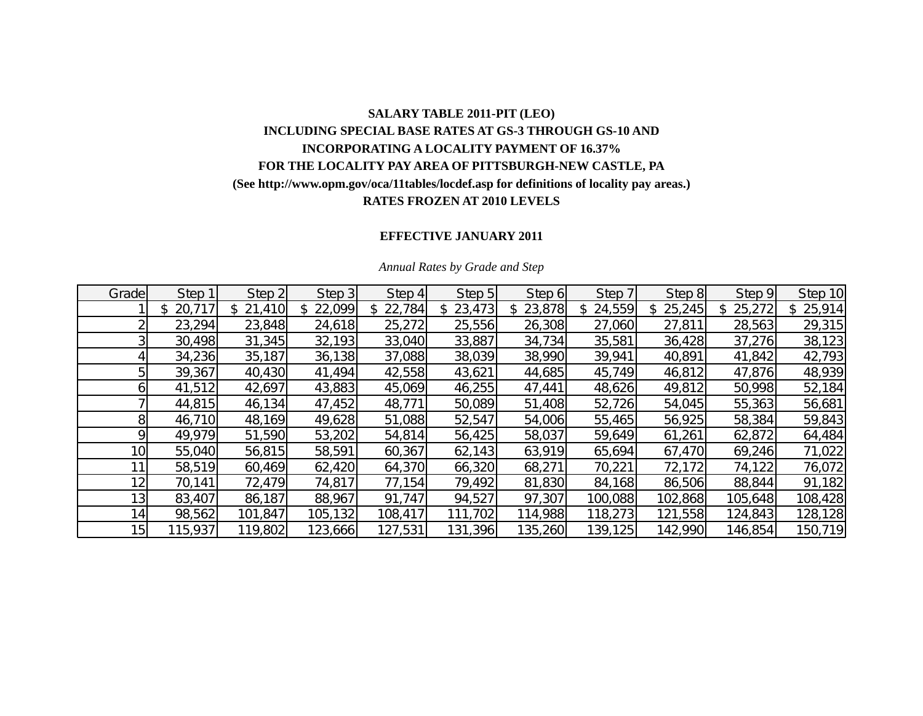# **SALARY TABLE 2011-PIT (LEO) INCLUDING SPECIAL BASE RATES AT GS-3 THROUGH GS-10 AND INCORPORATING A LOCALITY PAYMENT OF 16.37% FOR THE LOCALITY PAY AREA OF PITTSBURGH-NEW CASTLE, PA (See http://www.opm.gov/oca/11tables/locdef.asp for definitions of locality pay areas.) RATES FROZEN AT 2010 LEVELS**

## **EFFECTIVE JANUARY 2011**

| Grade           | Step 1       | Step 2  | Step 3  | Step 4   | Step 5  | Step 6   | Step 7  | Step 8  | Step 9  | Step 10      |
|-----------------|--------------|---------|---------|----------|---------|----------|---------|---------|---------|--------------|
|                 | \$<br>20,717 | 21,410  | 22,099  | \$22,784 | 23,473  | \$23,878 | 24,559  | 25,245  | 25,272  | 25,914<br>\$ |
|                 | 23,294       | 23,848  | 24,618  | 25,272   | 25,556  | 26,308   | 27,060  | 27,811  | 28,563  | 29,315       |
|                 | 30,498       | 31,345  | 32,193  | 33,040   | 33,887  | 34,734   | 35,581  | 36,428  | 37,276  | 38,123       |
|                 | 34,236       | 35,187  | 36,138  | 37,088   | 38,039  | 38,990   | 39,941  | 40,891  | 41,842  | 42,793       |
|                 | 39,367       | 40,430  | 41,494  | 42,558   | 43,621  | 44,685   | 45,749  | 46,812  | 47,876  | 48,939       |
|                 | 41,512       | 42,697  | 43,883  | 45,069   | 46,255  | 47,441   | 48,626  | 49,812  | 50,998  | 52,184       |
|                 | 44,815       | 46,134  | 47,452  | 48,771   | 50,089  | 51,408   | 52,726  | 54,045  | 55,363  | 56,681       |
| 81              | 46,710       | 48,169  | 49,628  | 51,088   | 52,547  | 54,006   | 55,465  | 56,925  | 58,384  | 59,843       |
| ΩI              | 49,979       | 51,590  | 53,202  | 54,814   | 56,425  | 58,037   | 59,649  | 61,261  | 62,872  | 64,484       |
| 10 <sub>l</sub> | 55,040       | 56,815  | 58,591  | 60,367   | 62,143  | 63,919   | 65,694  | 67,470  | 69,246  | 71,022       |
|                 | 58,519       | 60,469  | 62,420  | 64,370   | 66,320  | 68,271   | 70,221  | 72,172  | 74,122  | 76,072       |
| 12 <sub>1</sub> | 70,141       | 72,479  | 74,817  | 77,154   | 79,492  | 81,830   | 84,168  | 86,506  | 88,844  | 91,182       |
| 13 <sub>l</sub> | 83,407       | 86,187  | 88,967  | 91,747   | 94,527  | 97,307   | 100,088 | 102,868 | 105,648 | 108,428      |
| 14              | 98,562       | 101,847 | 105,132 | 108,417  | 111,702 | 114,988  | 118,273 | 121,558 | 124,843 | 128,128      |
| 15              | 115,937      | 119,802 | 123,666 | 127,531  | 131,396 | 135,260  | 139,125 | 142,990 | 146,854 | 150,719      |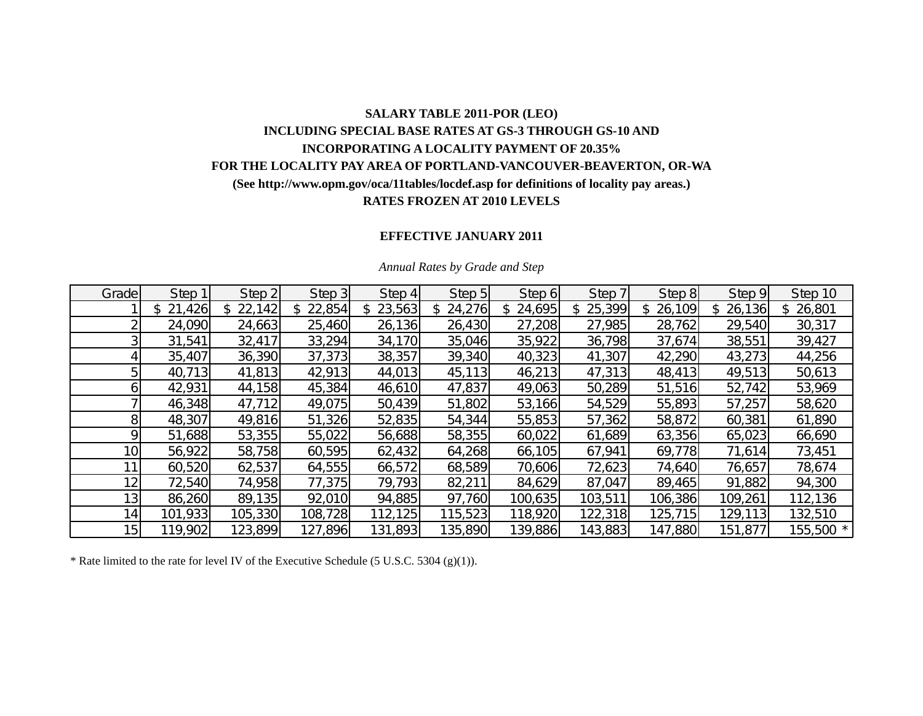# **SALARY TABLE 2011-POR (LEO) INCLUDING SPECIAL BASE RATES AT GS-3 THROUGH GS-10 AND INCORPORATING A LOCALITY PAYMENT OF 20.35% FOR THE LOCALITY PAY AREA OF PORTLAND-VANCOUVER-BEAVERTON, OR-WA (See http://www.opm.gov/oca/11tables/locdef.asp for definitions of locality pay areas.) RATES FROZEN AT 2010 LEVELS**

### **EFFECTIVE JANUARY 2011**

| Grade           | Step 1   | Step 2  | Step 3  | Step 4   | Step 5       | Step 6  | Step 7   | Step 8       | Step 9  | Step 10   |
|-----------------|----------|---------|---------|----------|--------------|---------|----------|--------------|---------|-----------|
|                 | \$21,426 | 22,142  | 22,854  | \$23,563 | 24,276<br>\$ | 24,695  | \$25,399 | 26,109<br>\$ | 26,136  | \$26,801  |
|                 | 24,090   | 24,663  | 25,460  | 26,136   | 26,430       | 27,208  | 27,985   | 28,762       | 29,540  | 30,317    |
|                 | 31,541   | 32,417  | 33,294  | 34,170   | 35,046       | 35,922  | 36,798   | 37,674       | 38,551  | 39,427    |
|                 | 35,407   | 36,390  | 37,373  | 38,357   | 39,340       | 40,323  | 41,307   | 42,290       | 43,273  | 44,256    |
|                 | 40,713   | 41,813  | 42,913  | 44,013   | 45,113       | 46,213  | 47,313   | 48,413       | 49,513  | 50,613    |
| n.              | 42,931   | 44,158  | 45,384  | 46,610   | 47,837       | 49,063  | 50,289   | 51,516       | 52,742  | 53,969    |
|                 | 46,348   | 47,712  | 49,075  | 50,439   | 51,802       | 53,166  | 54,529   | 55,893       | 57,257  | 58,620    |
| 8               | 48,307   | 49,816  | 51,326  | 52,835   | 54,344       | 55,853  | 57,362   | 58,872       | 60,381  | 61,890    |
| Ω               | 51,688   | 53,355  | 55,022  | 56,688   | 58,355       | 60,022  | 61,689   | 63,356       | 65,023  | 66,690    |
| 10 <sub>1</sub> | 56,922   | 58,758  | 60,595  | 62,432   | 64,268       | 66,105  | 67,941   | 69,778       | 71,614  | 73,451    |
|                 | 60,520   | 62,537  | 64,555  | 66,572   | 68,589       | 70,606  | 72,623   | 74,640       | 76,657  | 78,674    |
| 12              | 72,540   | 74,958  | 77,375  | 79,793   | 82,211       | 84,629  | 87,047   | 89,465       | 91,882  | 94,300    |
| 13 <sub>1</sub> | 86,260   | 89,135  | 92,010  | 94,885   | 97,760       | 100,635 | 103,511  | 106,386      | 109,261 | 112,136   |
| 14              | 101,933  | 105,330 | 108,728 | 112,125  | 115,523      | 118,920 | 122,318  | 125,715      | 129,113 | 132,510   |
| 15              | 119,902  | 123,899 | 127,896 | 131,893  | 135,890      | 139,886 | 143,883  | 147,880      | 151,877 | 155,500 * |

#### *Annual Rates by Grade and Step*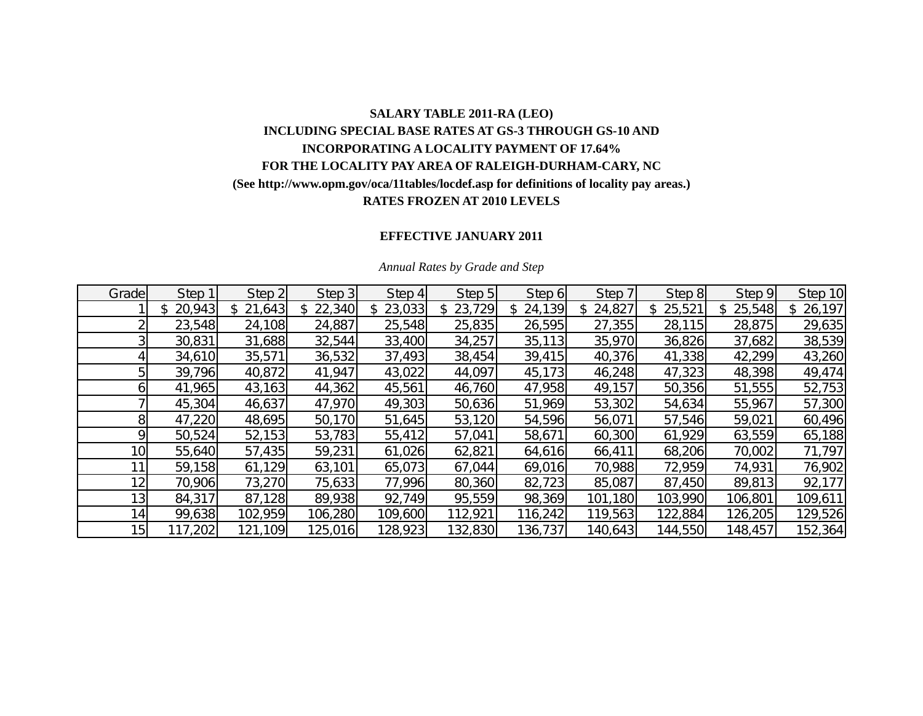## **SALARY TABLE 2011-RA (LEO) INCLUDING SPECIAL BASE RATES AT GS-3 THROUGH GS-10 AND INCORPORATING A LOCALITY PAYMENT OF 17.64% FOR THE LOCALITY PAY AREA OF RALEIGH-DURHAM-CARY, NC (See http://www.opm.gov/oca/11tables/locdef.asp for definitions of locality pay areas.) RATES FROZEN AT 2010 LEVELS**

## **EFFECTIVE JANUARY 2011**

| Grade           | Step 1       | Step 2       | Step 3  | Step 4   | Step 5       | Step 6        | Step 7  | Step 8        | Step 9       | Step 10      |
|-----------------|--------------|--------------|---------|----------|--------------|---------------|---------|---------------|--------------|--------------|
|                 | \$<br>20,943 | 21,643<br>\$ | 22,340  | \$23,033 | 23,729<br>\$ | 24,139<br>\$. | 24,827  | 25,521<br>\$. | 25,548<br>\$ | 26,197<br>\$ |
|                 | 23,548       | 24,108       | 24,887  | 25,548   | 25,835       | 26,595        | 27,355  | 28,115        | 28,875       | 29,635       |
|                 | 30,831       | 31,688       | 32,544  | 33,400   | 34,257       | 35,113        | 35,970  | 36,826        | 37,682       | 38,539       |
|                 | 34,610       | 35,571       | 36,532  | 37,493   | 38,454       | 39,415        | 40,376  | 41,338        | 42,299       | 43,260       |
|                 | 39,796       | 40,872       | 41,947  | 43,022   | 44,097       | 45,173        | 46,248  | 47,323        | 48,398       | 49,474       |
|                 | 41,965       | 43,163       | 44,362  | 45,561   | 46,760       | 47,958        | 49,157  | 50,356        | 51,555       | 52,753       |
|                 | 45,304       | 46,637       | 47,970  | 49,303   | 50,636       | 51,969        | 53,302  | 54,634        | 55,967       | 57,300       |
| 8               | 47,220       | 48,695       | 50,170  | 51,645   | 53,120       | 54,596        | 56,071  | 57,546        | 59,021       | 60,496       |
| ΩI              | 50,524       | 52,153       | 53,783  | 55,412   | 57,041       | 58,671        | 60,300  | 61,929        | 63,559       | 65,188       |
| 10 <sub>l</sub> | 55,640       | 57,435       | 59,231  | 61,026   | 62,821       | 64,616        | 66,411  | 68,206        | 70,002       | 71,797       |
|                 | 59,158       | 61,129       | 63,101  | 65,073   | 67,044       | 69,016        | 70,988  | 72,959        | 74,931       | 76,902       |
| 12 <sub>1</sub> | 70,906       | 73,270       | 75,633  | 77,996   | 80,360       | 82,723        | 85,087  | 87,450        | 89,813       | 92,177       |
| 13 <sub>l</sub> | 84,317       | 87,128       | 89,938  | 92,749   | 95,559       | 98,369        | 101,180 | 103,990       | 106,801      | 109,611      |
| 14              | 99,638       | 102,959      | 106,280 | 109,600  | 112,921      | 116,242       | 119,563 | 122,884       | 126,205      | 129,526      |
| 15              | 117,202      | 121,109      | 125,016 | 128,923  | 132,830      | 136,737       | 140,643 | 144,550       | 148,457      | 152,364      |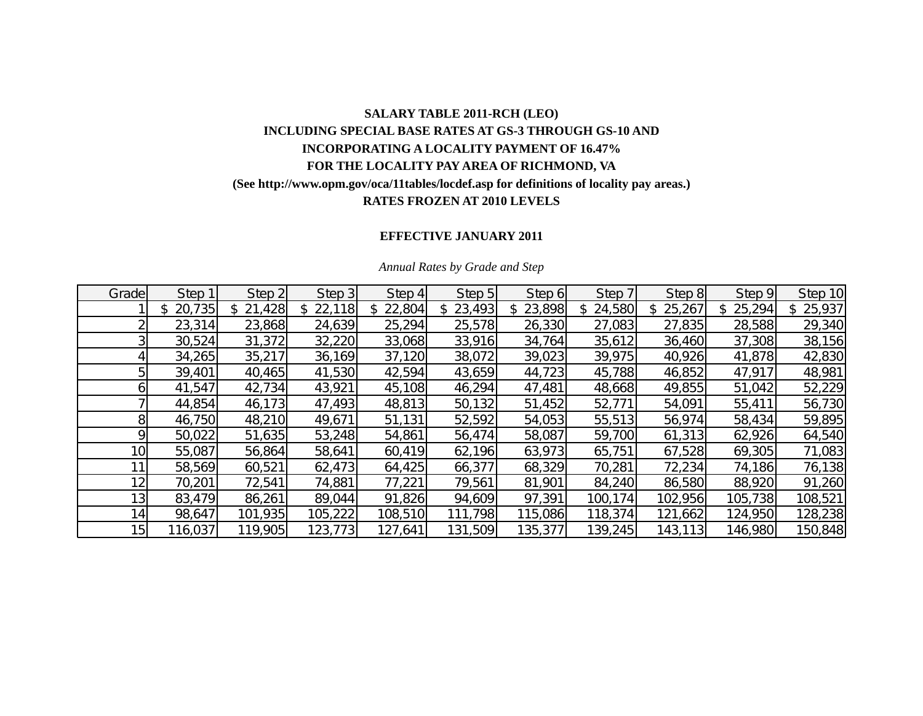# **SALARY TABLE 2011-RCH (LEO) INCLUDING SPECIAL BASE RATES AT GS-3 THROUGH GS-10 AND INCORPORATING A LOCALITY PAYMENT OF 16.47% FOR THE LOCALITY PAY AREA OF RICHMOND, VA (See http://www.opm.gov/oca/11tables/locdef.asp for definitions of locality pay areas.) RATES FROZEN AT 2010 LEVELS**

## **EFFECTIVE JANUARY 2011**

| Grade           | Step 1       | Step 2       | Step 3  | Step 4  | Step 5  | Step 6        | Step 7       | Step 8       | Step 9  | Step 10 |
|-----------------|--------------|--------------|---------|---------|---------|---------------|--------------|--------------|---------|---------|
|                 | 20,735<br>\$ | 21,428<br>\$ | 22,118  | 22,804  | 23,493  | 23,898<br>\$. | 24,580<br>\$ | 25,267<br>\$ | 25,294  | 25,937  |
|                 | 23,314       | 23,868       | 24,639  | 25,294  | 25,578  | 26,330        | 27,083       | 27,835       | 28,588  | 29,340  |
|                 | 30,524       | 31,372       | 32,220  | 33,068  | 33,916  | 34,764        | 35,612       | 36,460       | 37,308  | 38,156  |
|                 | 34,265       | 35,217       | 36,169  | 37,120  | 38,072  | 39,023        | 39,975       | 40,926       | 41,878  | 42,830  |
|                 | 39,401       | 40,465       | 41,530  | 42,594  | 43,659  | 44,723        | 45,788       | 46,852       | 47,917  | 48,981  |
|                 | 41,547       | 42,734       | 43,921  | 45,108  | 46,294  | 47,481        | 48,668       | 49,855       | 51,042  | 52,229  |
|                 | 44,854       | 46,173       | 47,493  | 48,813  | 50,132  | 51,452        | 52,771       | 54,091       | 55,411  | 56,730  |
| 8 <sup>1</sup>  | 46,750       | 48,210       | 49,671  | 51,131  | 52,592  | 54,053        | 55,513       | 56,974       | 58,434  | 59,895  |
| οı              | 50,022       | 51,635       | 53,248  | 54,861  | 56,474  | 58,087        | 59,700       | 61,313       | 62,926  | 64,540  |
| 10 <sup>1</sup> | 55,087       | 56,864       | 58,641  | 60,419  | 62,196  | 63,973        | 65,751       | 67,528       | 69,305  | 71,083  |
| 11              | 58,569       | 60,521       | 62,473  | 64,425  | 66,377  | 68,329        | 70,281       | 72,234       | 74,186  | 76,138  |
| 12 <sub>1</sub> | 70,201       | 72,541       | 74,881  | 77,221  | 79,561  | 81,901        | 84,240       | 86,580       | 88,920  | 91,260  |
| 13 <sub>l</sub> | 83,479       | 86,261       | 89,044  | 91,826  | 94,609  | 97,391        | 100,174      | 102,956      | 105,738 | 108,521 |
| 14              | 98,647       | 101,935      | 105,222 | 108,510 | 111,798 | 115,086       | 118,374      | 121,662      | 124,950 | 128,238 |
| 15              | 116,037      | 119,905      | 123,773 | 127,641 | 131,509 | 135,377       | 139,245      | 143,113      | 146,980 | 150,848 |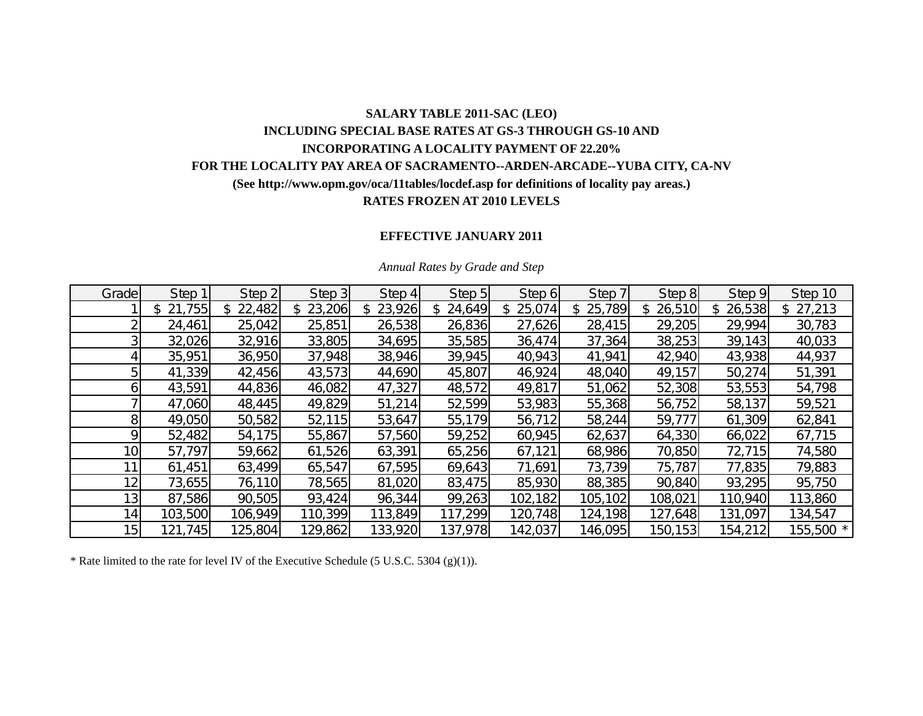## **SALARY TABLE 2011-SAC (LEO) INCLUDING SPECIAL BASE RATES AT GS-3 THROUGH GS-10 AND INCORPORATING A LOCALITY PAYMENT OF 22.20% FOR THE LOCALITY PAY AREA OF SACRAMENTO--ARDEN-ARCADE--YUBA CITY, CA-NV (See http://www.opm.gov/oca/11tables/locdef.asp for definitions of locality pay areas.) RATES FROZEN AT 2010 LEVELS**

## **EFFECTIVE JANUARY 2011**

| Grade           | Step 1   | Step 2   | Step 3       | Step 4   | Step 5       | Step 6        | Step 7   | Step 8       | Step 9  | Step 10   |
|-----------------|----------|----------|--------------|----------|--------------|---------------|----------|--------------|---------|-----------|
|                 | \$21,755 | \$22,482 | 23,206<br>\$ | \$23,926 | 24,649<br>\$ | 25,074<br>\$. | \$25,789 | 26,510<br>S. | 26,538  | \$27,213  |
|                 | 24,461   | 25,042   | 25,851       | 26,538   | 26,836       | 27,626        | 28,415   | 29,205       | 29,994  | 30,783    |
|                 | 32,026   | 32,916   | 33,805       | 34,695   | 35,585       | 36,474        | 37,364   | 38,253       | 39,143  | 40,033    |
|                 | 35,951   | 36,950   | 37,948       | 38,946   | 39,945       | 40,943        | 41,941   | 42,940       | 43,938  | 44,937    |
|                 | 41,339   | 42,456   | 43,573       | 44,690   | 45,807       | 46,924        | 48,040   | 49,157       | 50,274  | 51,391    |
| ы               | 43,591   | 44,836   | 46,082       | 47,327   | 48,572       | 49,817        | 51,062   | 52,308       | 53,553  | 54,798    |
|                 | 47,060   | 48,445   | 49,829       | 51,214   | 52,599       | 53,983        | 55,368   | 56,752       | 58,137  | 59,521    |
| 8               | 49,050   | 50,582   | 52,115       | 53,647   | 55,179       | 56,712        | 58,244   | 59,777       | 61,309  | 62,841    |
| Ο               | 52,482   | 54,175   | 55,867       | 57,560   | 59,252       | 60,945        | 62,637   | 64,330       | 66,022  | 67,715    |
| 10 <sub>1</sub> | 57,797   | 59,662   | 61,526       | 63,391   | 65,256       | 67,121        | 68,986   | 70,850       | 72,715  | 74,580    |
|                 | 61,451   | 63,499   | 65,547       | 67,595   | 69,643       | 71,691        | 73,739   | 75,787       | 77,835  | 79,883    |
| 12 <sub>1</sub> | 73,655   | 76,110   | 78,565       | 81,020   | 83,475       | 85,930        | 88,385   | 90,840       | 93,295  | 95,750    |
| 13 <sub>1</sub> | 87,586   | 90,505   | 93,424       | 96,344   | 99,263       | 102,182       | 105,102  | 108,021      | 110,940 | 113,860   |
| 14.             | 103,500  | 106,949  | 110,399      | 113,849  | 117,299      | 120,748       | 124,198  | 127,648      | 131,097 | 134,547   |
| 15 <sub>l</sub> | 121,745  | 125,804  | 129,862      | 133,920  | 137,978      | 142,037       | 146,095  | 150, 153     | 154,212 | 155,500 * |

#### *Annual Rates by Grade and Step*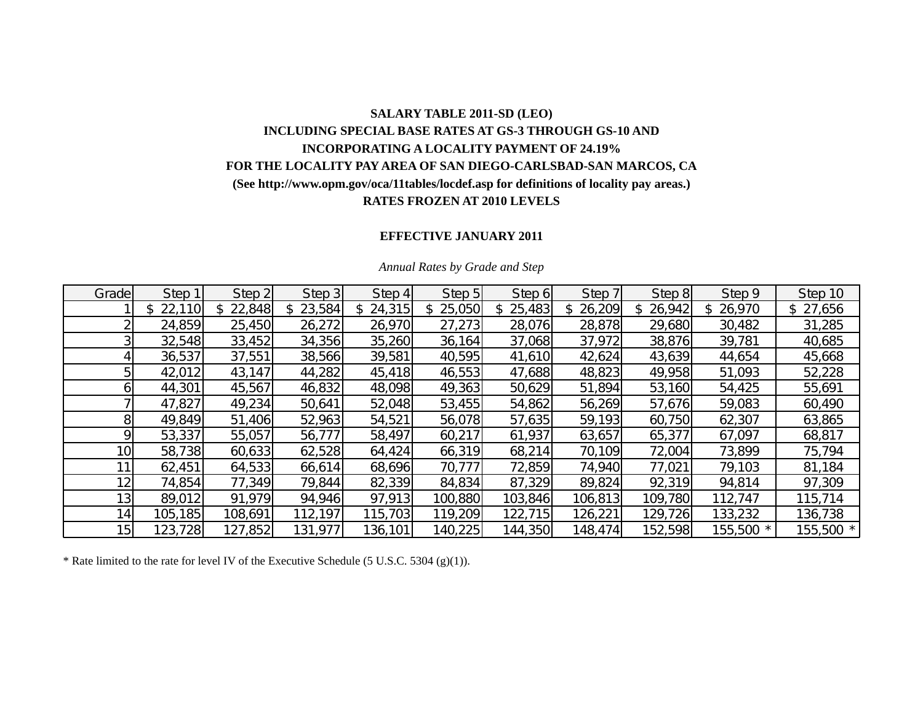# **SALARY TABLE 2011-SD (LEO) INCLUDING SPECIAL BASE RATES AT GS-3 THROUGH GS-10 AND INCORPORATING A LOCALITY PAYMENT OF 24.19% FOR THE LOCALITY PAY AREA OF SAN DIEGO-CARLSBAD-SAN MARCOS, CA (See http://www.opm.gov/oca/11tables/locdef.asp for definitions of locality pay areas.) RATES FROZEN AT 2010 LEVELS**

### **EFFECTIVE JANUARY 2011**

| Grade           | Step 1       | Step 2       | Step 3   | Step 4       | Step 5   | Step 6   | Step 7       | Step 8       | Step 9       | Step 10   |
|-----------------|--------------|--------------|----------|--------------|----------|----------|--------------|--------------|--------------|-----------|
|                 | 22,110<br>\$ | 22,848<br>\$ | \$23,584 | 24,315<br>\$ | \$25,050 | \$25,483 | 26,209<br>\$ | 26,942<br>S. | 26,970<br>\$ | \$27,656  |
|                 | 24,859       | 25,450       | 26,272   | 26,970       | 27,273   | 28,076   | 28,878       | 29,680       | 30,482       | 31,285    |
|                 | 32,548       | 33,452       | 34,356   | 35,260       | 36,164   | 37,068   | 37,972       | 38,876       | 39,781       | 40,685    |
|                 | 36,537       | 37,551       | 38,566   | 39,581       | 40,595   | 41,610   | 42,624       | 43,639       | 44,654       | 45,668    |
|                 | 42,012       | 43,147       | 44,282   | 45,418       | 46,553   | 47,688   | 48,823       | 49,958       | 51,093       | 52,228    |
|                 | 44,301       | 45,567       | 46,832   | 48,098       | 49,363   | 50,629   | 51,894       | 53,160       | 54,425       | 55,691    |
|                 | 47,827       | 49,234       | 50,641   | 52,048       | 53,455   | 54,862   | 56,269       | 57,676       | 59,083       | 60,490    |
| 81              | 49,849       | 51,406       | 52,963   | 54,521       | 56,078   | 57,635   | 59,193       | 60,750       | 62,307       | 63,865    |
| Q               | 53,337       | 55,057       | 56,777   | 58,497       | 60,217   | 61,937   | 63,657       | 65,377       | 67,097       | 68,817    |
| 10              | 58,738       | 60,633       | 62,528   | 64,424       | 66,319   | 68,214   | 70,109       | 72,004       | 73,899       | 75,794    |
| 11              | 62,451       | 64,533       | 66,614   | 68,696       | 70,777   | 72,859   | 74,940       | 77,021       | 79,103       | 81,184    |
| 12              | 74,854       | 77,349       | 79,844   | 82,339       | 84,834   | 87,329   | 89,824       | 92,319       | 94,814       | 97,309    |
| 13 <sub>1</sub> | 89,012       | 91,979       | 94,946   | 97,913       | 100,880  | 103,846  | 106,813      | 109,780      | 112,747      | 115,714   |
| 14              | 105,185      | 108,691      | 112,197  | 115,703      | 119,209  | 122,715  | 126,221      | 129,726      | 133,232      | 136,738   |
| 15              | 123,728      | 127,852      | 131,977  | 136,101      | 140,225  | 144,350  | 148,474      | 152,598      | 155,500 *    | 155,500 * |

#### *Annual Rates by Grade and Step*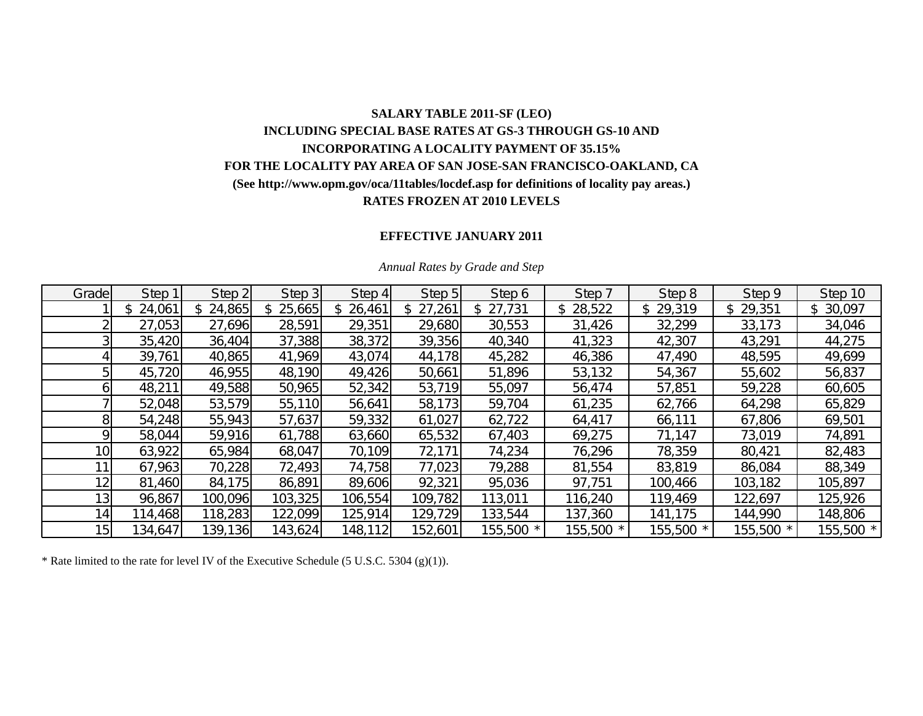# **SALARY TABLE 2011-SF (LEO) INCLUDING SPECIAL BASE RATES AT GS-3 THROUGH GS-10 AND INCORPORATING A LOCALITY PAYMENT OF 35.15% FOR THE LOCALITY PAY AREA OF SAN JOSE-SAN FRANCISCO-OAKLAND, CA (See http://www.opm.gov/oca/11tables/locdef.asp for definitions of locality pay areas.) RATES FROZEN AT 2010 LEVELS**

### **EFFECTIVE JANUARY 2011**

| Grade           | Step 1  | Step 2   | Step 3       | Step 4   | Step 5   | Step 6    | Step 7    | Step 8   | Step 9   | Step 10   |
|-----------------|---------|----------|--------------|----------|----------|-----------|-----------|----------|----------|-----------|
|                 | 24,061  | \$24,865 | 25,665<br>\$ | \$26,461 | \$27,261 | \$27,731  | \$28,522  | \$29,319 | \$29,351 | \$30,097  |
|                 | 27,053  | 27,696   | 28,591       | 29,351   | 29,680   | 30,553    | 31,426    | 32,299   | 33,173   | 34,046    |
|                 | 35,420  | 36,404   | 37,388       | 38,372   | 39,356   | 40,340    | 41,323    | 42,307   | 43,291   | 44,275    |
|                 | 39,761  | 40,865   | 41,969       | 43,074   | 44,178   | 45,282    | 46,386    | 47,490   | 48,595   | 49,699    |
| 5               | 45,720  | 46,955   | 48,190       | 49,426   | 50,661   | 51,896    | 53,132    | 54,367   | 55,602   | 56,837    |
| 61              | 48,211  | 49,588   | 50,965       | 52,342   | 53,719   | 55,097    | 56,474    | 57,851   | 59,228   | 60,605    |
|                 | 52,048  | 53,579   | 55,110       | 56,641   | 58,173   | 59,704    | 61,235    | 62,766   | 64,298   | 65,829    |
| 8               | 54,248  | 55,943   | 57,637       | 59,332   | 61,027   | 62,722    | 64,417    | 66,111   | 67,806   | 69,501    |
| 9               | 58,044  | 59,916   | 61,788       | 63,660   | 65,532   | 67,403    | 69,275    | 71,147   | 73,019   | 74,891    |
| 10 <sub>l</sub> | 63,922  | 65,984   | 68,047       | 70,109   | 72,171   | 74,234    | 76,296    | 78,359   | 80,421   | 82,483    |
| 11 <sub>1</sub> | 67,963  | 70,228   | 72,493       | 74,758   | 77,023   | 79,288    | 81,554    | 83,819   | 86,084   | 88,349    |
| 12              | 81,460  | 84,175   | 86,891       | 89,606   | 92,321   | 95,036    | 97,751    | 100,466  | 103,182  | 105,897   |
| 13 <sub>l</sub> | 96,867  | 100,096  | 103,325      | 106,554  | 109,782  | 113,011   | 116,240   | 119,469  | 122,697  | 125,926   |
| 14 <sub>1</sub> | 14,468  | 118,283  | 122,099      | 125,914  | 129,729  | 133,544   | 137,360   | 141,175  | 144,990  | 148,806   |
| 15 <sub>l</sub> | 134,647 | 139,136  | 143,624      | 148,112  | 152,601  | 155,500 * | 155,500 * | 155,500  | 155,500  | 155,500 * |

#### *Annual Rates by Grade and Step*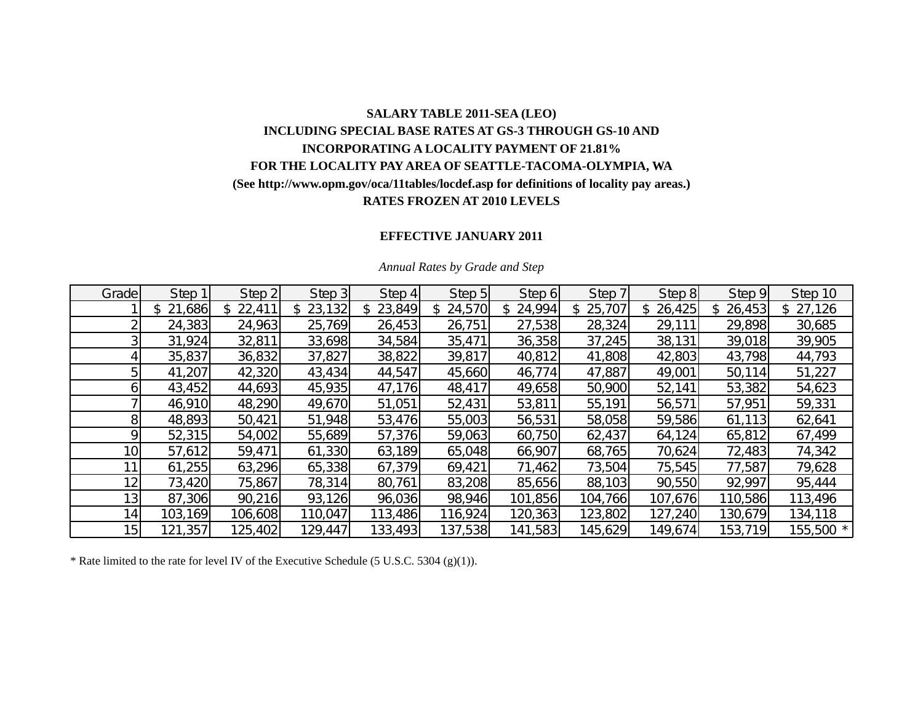# **SALARY TABLE 2011-SEA (LEO) INCLUDING SPECIAL BASE RATES AT GS-3 THROUGH GS-10 AND INCORPORATING A LOCALITY PAYMENT OF 21.81% FOR THE LOCALITY PAY AREA OF SEATTLE-TACOMA-OLYMPIA, WA (See http://www.opm.gov/oca/11tables/locdef.asp for definitions of locality pay areas.) RATES FROZEN AT 2010 LEVELS**

## **EFFECTIVE JANUARY 2011**

| Grade           | Step 1        | Step 2       | Step 3  | Step 4        | Step 5       | Step 6  | Step 7   | Step 8        | Step 9  | Step 10   |
|-----------------|---------------|--------------|---------|---------------|--------------|---------|----------|---------------|---------|-----------|
|                 | 21,686<br>\$. | 22,411<br>\$ | 23,132  | 23,849<br>\$. | 24,570<br>S. | 24,994  | \$25,707 | 26,425<br>\$. | 26,453  | \$27,126  |
|                 | 24,383        | 24,963       | 25,769  | 26,453        | 26,751       | 27,538  | 28,324   | 29,111        | 29,898  | 30,685    |
|                 | 31,924        | 32,811       | 33,698  | 34,584        | 35,471       | 36,358  | 37,245   | 38,131        | 39,018  | 39,905    |
|                 | 35,837        | 36,832       | 37,827  | 38,822        | 39,817       | 40,812  | 41,808   | 42,803        | 43,798  | 44,793    |
|                 | 41,207        | 42,320       | 43,434  | 44,547        | 45,660       | 46,774  | 47,887   | 49,001        | 50,114  | 51,227    |
| οı              | 43,452        | 44,693       | 45,935  | 47,176        | 48,417       | 49,658  | 50,900   | 52,141        | 53,382  | 54,623    |
|                 | 46,910        | 48,290       | 49,670  | 51,051        | 52,431       | 53,811  | 55,191   | 56,571        | 57,951  | 59,331    |
| 8               | 48,893        | 50,421       | 51,948  | 53,476        | 55,003       | 56,531  | 58,058   | 59,586        | 61,113  | 62,641    |
| Ω               | 52,315        | 54,002       | 55,689  | 57,376        | 59,063       | 60,750  | 62,437   | 64,124        | 65,812  | 67,499    |
| 10 <sub>1</sub> | 57,612        | 59,471       | 61,330  | 63,189        | 65,048       | 66,907  | 68,765   | 70,624        | 72,483  | 74,342    |
|                 | 61,255        | 63,296       | 65,338  | 67,379        | 69,421       | 71,462  | 73,504   | 75,545        | 77,587  | 79,628    |
| 12 <sub>1</sub> | 73,420        | 75,867       | 78,314  | 80,761        | 83,208       | 85,656  | 88,103   | 90,550        | 92,997  | 95,444    |
| 13 <sub>1</sub> | 87,306        | 90,216       | 93,126  | 96,036        | 98,946       | 101,856 | 104,766  | 107,676       | 110,586 | 113,496   |
| 14 <sub>1</sub> | 103,169       | 106,608      | 110,047 | 113,486       | 116,924      | 120,363 | 123,802  | 127,240       | 130,679 | 134,118   |
| 15              | 121,357       | 125,402      | 129,447 | 133,493       | 137,538      | 141,583 | 145,629  | 149,674       | 153,719 | 155,500 * |

#### *Annual Rates by Grade and Step*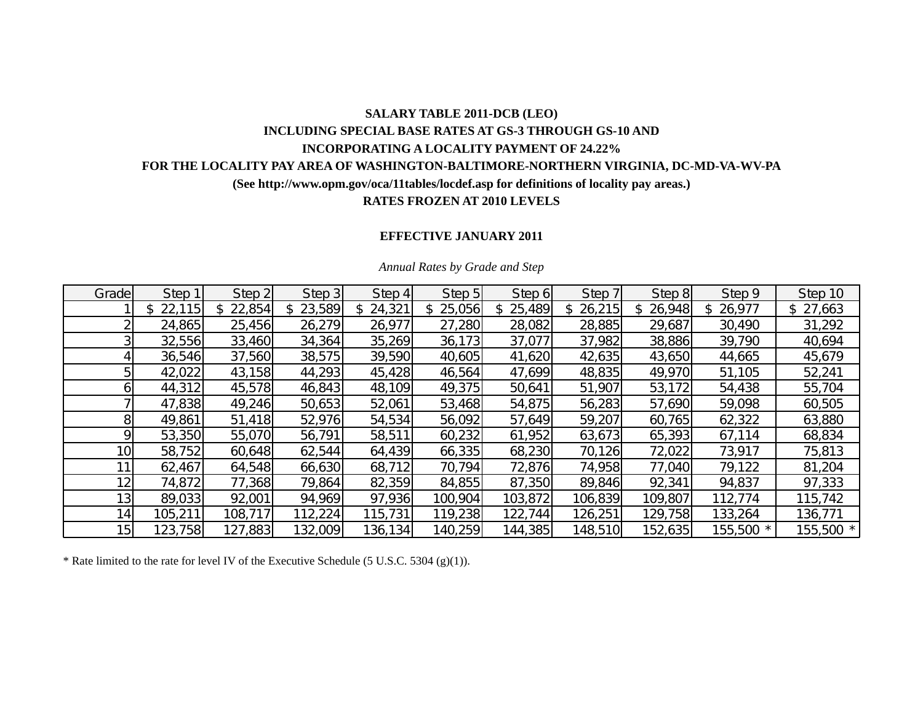## **SALARY TABLE 2011-DCB (LEO) INCLUDING SPECIAL BASE RATES AT GS-3 THROUGH GS-10 AND INCORPORATING A LOCALITY PAYMENT OF 24.22% FOR THE LOCALITY PAY AREA OF WASHINGTON-BALTIMORE-NORTHERN VIRGINIA, DC-MD-VA-WV-PA (See http://www.opm.gov/oca/11tables/locdef.asp for definitions of locality pay areas.) RATES FROZEN AT 2010 LEVELS**

### **EFFECTIVE JANUARY 2011**

| Grade           | Step 1  | Step 2  | Step 3  | Step 4      | Step 5  | Step 6   | Step 7        | Step 8  | Step 9       | Step 10   |
|-----------------|---------|---------|---------|-------------|---------|----------|---------------|---------|--------------|-----------|
|                 | 22,115  | 22,854  | 23,589  | 24,321<br>S | 25,056  | \$25,489 | 26,215<br>\$. | 26,948  | 26,977<br>\$ | \$27,663  |
|                 | 24,865  | 25,456  | 26,279  | 26,977      | 27,280  | 28,082   | 28,885        | 29,687  | 30,490       | 31,292    |
|                 | 32,556  | 33,460  | 34,364  | 35,269      | 36,173  | 37,077   | 37,982        | 38,886  | 39,790       | 40,694    |
|                 | 36,546  | 37,560  | 38,575  | 39,590      | 40,605  | 41,620   | 42,635        | 43,650  | 44,665       | 45,679    |
|                 | 42,022  | 43,158  | 44,293  | 45,428      | 46,564  | 47,699   | 48,835        | 49,970  | 51,105       | 52,241    |
|                 | 44,312  | 45,578  | 46,843  | 48,109      | 49,375  | 50,641   | 51,907        | 53,172  | 54,438       | 55,704    |
|                 | 47,838  | 49,246  | 50,653  | 52,061      | 53,468  | 54,875   | 56,283        | 57,690  | 59,098       | 60,505    |
| 81              | 49,861  | 51,418  | 52,976  | 54,534      | 56,092  | 57,649   | 59,207        | 60,765  | 62,322       | 63,880    |
| Q               | 53,350  | 55,070  | 56,791  | 58,511      | 60,232  | 61,952   | 63,673        | 65,393  | 67,114       | 68,834    |
| 10 <sub>1</sub> | 58,752  | 60,648  | 62,544  | 64,439      | 66,335  | 68,230   | 70,126        | 72,022  | 73,917       | 75,813    |
| 11              | 62,467  | 64,548  | 66,630  | 68,712      | 70,794  | 72,876   | 74,958        | 77,040  | 79,122       | 81,204    |
| 12              | 74,872  | 77,368  | 79,864  | 82,359      | 84,855  | 87,350   | 89,846        | 92,341  | 94,837       | 97,333    |
| 13 <sub>1</sub> | 89,033  | 92,001  | 94,969  | 97,936      | 100,904 | 103,872  | 106,839       | 109,807 | 112,774      | 115,742   |
| 14 <sub>1</sub> | 105,211 | 108,717 | 112,224 | 115,731     | 119,238 | 122,744  | 126,251       | 129,758 | 133,264      | 136,771   |
| 15              | 123,758 | 127,883 | 132,009 | 136, 134    | 140,259 | 144,385  | 148,510       | 152,635 | 155,500 *    | 155,500 * |

#### *Annual Rates by Grade and Step*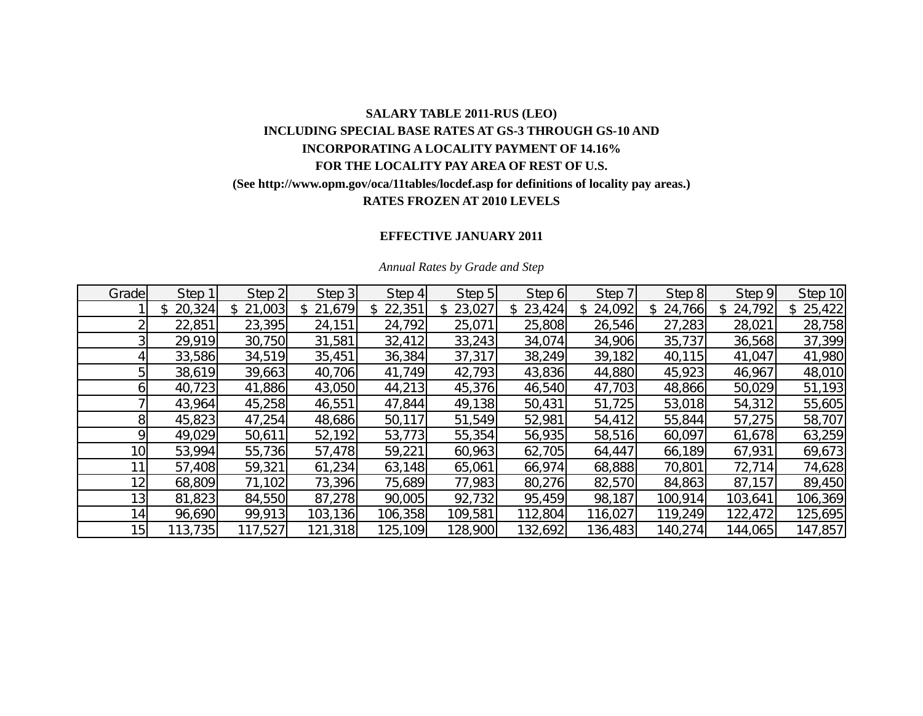# **SALARY TABLE 2011-RUS (LEO) INCLUDING SPECIAL BASE RATES AT GS-3 THROUGH GS-10 AND INCORPORATING A LOCALITY PAYMENT OF 14.16% FOR THE LOCALITY PAY AREA OF REST OF U.S. (See http://www.opm.gov/oca/11tables/locdef.asp for definitions of locality pay areas.) RATES FROZEN AT 2010 LEVELS**

## **EFFECTIVE JANUARY 2011**

| Grade           | Step 1  | Step 2       | Step 3       | Step 4   | Step 5       | Step 6   | Step 7       | Step 8       | Step 9   | Step 10      |
|-----------------|---------|--------------|--------------|----------|--------------|----------|--------------|--------------|----------|--------------|
|                 | 20,324  | 21,003<br>\$ | 21,679<br>\$ | \$22,351 | 23,027<br>\$ | \$23,424 | 24,092<br>S. | 24,766<br>\$ | \$24,792 | 25,422<br>\$ |
|                 | 22,851  | 23,395       | 24,151       | 24,792   | 25,071       | 25,808   | 26,546       | 27,283       | 28,021   | 28,758       |
|                 | 29,919  | 30,750       | 31,581       | 32,412   | 33,243       | 34,074   | 34,906       | 35,737       | 36,568   | 37,399       |
|                 | 33,586  | 34,519       | 35,451       | 36,384   | 37,317       | 38,249   | 39,182       | 40,115       | 41,047   | 41,980       |
|                 | 38,619  | 39,663       | 40,706       | 41,749   | 42,793       | 43,836   | 44,880       | 45,923       | 46,967   | 48,010       |
|                 | 40,723  | 41,886       | 43,050       | 44,213   | 45,376       | 46,540   | 47,703       | 48,866       | 50,029   | 51,193       |
|                 | 43,964  | 45,258       | 46,551       | 47,844   | 49,138       | 50,431   | 51,725       | 53,018       | 54,312   | 55,605       |
| 8               | 45,823  | 47,254       | 48,686       | 50,117   | 51,549       | 52,981   | 54,412       | 55,844       | 57,275   | 58,707       |
|                 | 49,029  | 50,611       | 52,192       | 53,773   | 55,354       | 56,935   | 58,516       | 60,097       | 61,678   | 63,259       |
| 10 <sub>l</sub> | 53,994  | 55,736       | 57,478       | 59,221   | 60,963       | 62,705   | 64,447       | 66,189       | 67,931   | 69,673       |
|                 | 57,408  | 59,321       | 61,234       | 63,148   | 65,061       | 66,974   | 68,888       | 70,801       | 72,714   | 74,628       |
| 12 <sub>1</sub> | 68,809  | 71,102       | 73,396       | 75,689   | 77,983       | 80,276   | 82,570       | 84,863       | 87,157   | 89,450       |
| 13 <sub>l</sub> | 81,823  | 84,550       | 87,278       | 90,005   | 92,732       | 95,459   | 98,187       | 100,914      | 103,641  | 106,369      |
| 14              | 96,690  | 99,913       | 103,136      | 106,358  | 109,581      | 112,804  | 116,027      | 119,249      | 122,472  | 125,695      |
| 15 <sub>l</sub> | 113,735 | 117,527      | 121,318      | 125,109  | 128,900      | 132,692  | 136,483      | 140,274      | 144,065  | 147,857      |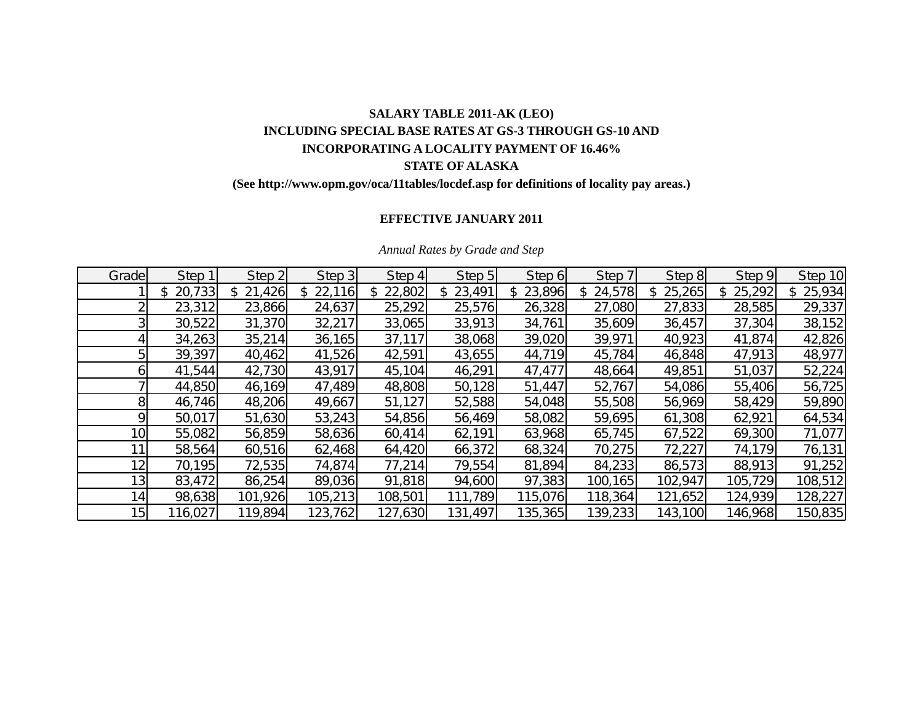# **SALARY TABLE 2011-AK (LEO) INCLUDING SPECIAL BASE RATES AT GS-3 THROUGH GS-10 AND INCORPORATING A LOCALITY PAYMENT OF 16.46% STATE OF ALASKA**

## **(See http://www.opm.gov/oca/11tables/locdef.asp for definitions of locality pay areas.)**

## **EFFECTIVE JANUARY 2011**

| Grade           | Step 1        | Step 2        | Step 3  | Step 4  | Step 5       | Step 6        | Step 7  | Step 8        | Step 9  | Step 10      |
|-----------------|---------------|---------------|---------|---------|--------------|---------------|---------|---------------|---------|--------------|
|                 | 20,733<br>\$. | 21,426<br>\$. | 22,116  | 22,802  | 23,491<br>\$ | 23,896<br>\$. | 24,578  | 25,265<br>\$. | 25,292  | 25,934<br>\$ |
|                 | 23,312        | 23,866        | 24,637  | 25,292  | 25,576       | 26,328        | 27,080  | 27,833        | 28,585  | 29,337       |
|                 | 30,522        | 31,370        | 32,217  | 33,065  | 33,913       | 34,761        | 35,609  | 36,457        | 37,304  | 38,152       |
|                 | 34,263        | 35,214        | 36,165  | 37,117  | 38,068       | 39,020        | 39,971  | 40,923        | 41,874  | 42,826       |
|                 | 39,397        | 40,462        | 41,526  | 42,591  | 43,655       | 44,719        | 45,784  | 46,848        | 47,913  | 48,977       |
|                 | 41,544        | 42,730        | 43,917  | 45,104  | 46,291       | 47,477        | 48,664  | 49,851        | 51,037  | 52,224       |
|                 | 44,850        | 46,169        | 47,489  | 48,808  | 50,128       | 51,447        | 52,767  | 54,086        | 55,406  | 56,725       |
|                 | 46,746        | 48,206        | 49,667  | 51,127  | 52,588       | 54,048        | 55,508  | 56,969        | 58,429  | 59,890       |
|                 | 50,017        | 51,630        | 53,243  | 54,856  | 56,469       | 58,082        | 59,695  | 61,308        | 62,921  | 64,534       |
| 10 <sub>l</sub> | 55,082        | 56,859        | 58,636  | 60,414  | 62,191       | 63,968        | 65,745  | 67,522        | 69,300  | 71,077       |
|                 | 58,564        | 60,516        | 62,468  | 64,420  | 66,372       | 68,324        | 70,275  | 72,227        | 74,179  | 76,131       |
| 12 <sub>1</sub> | 70,195        | 72,535        | 74,874  | 77,214  | 79,554       | 81,894        | 84,233  | 86,573        | 88,913  | 91,252       |
| 13 <sub>l</sub> | 83,472        | 86,254        | 89,036  | 91,818  | 94,600       | 97,383        | 100,165 | 102,947       | 105,729 | 108,512      |
| 14              | 98,638        | 101,926       | 105,213 | 108,501 | 111,789      | 115,076       | 118,364 | 121,652       | 124,939 | 128,227      |
| 15 <sup>1</sup> | 116,027       | 119,894       | 123,762 | 127,630 | 131,497      | 135,365       | 139,233 | 143,100       | 146,968 | 150,835      |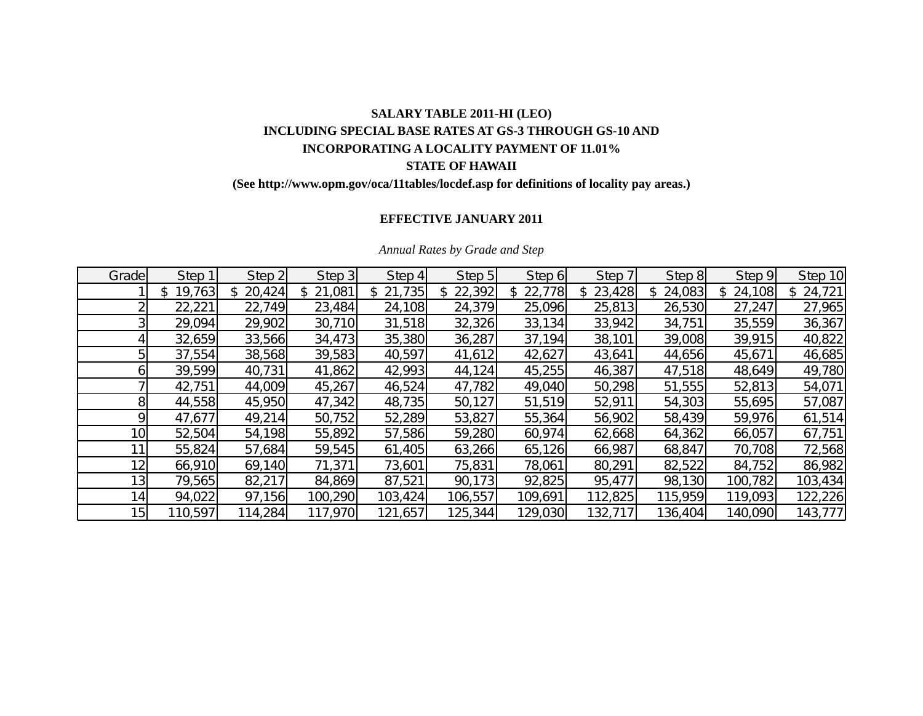# **SALARY TABLE 2011-HI (LEO) INCLUDING SPECIAL BASE RATES AT GS-3 THROUGH GS-10 AND INCORPORATING A LOCALITY PAYMENT OF 11.01% STATE OF HAWAII**

## **(See http://www.opm.gov/oca/11tables/locdef.asp for definitions of locality pay areas.)**

## **EFFECTIVE JANUARY 2011**

| Grade           | Step 1       | Step 2       | Step 3  | Step 4  | Step 5       | Step 6        | Step 7  | Step 8        | Step 9  | Step 10      |
|-----------------|--------------|--------------|---------|---------|--------------|---------------|---------|---------------|---------|--------------|
|                 | 19,763<br>\$ | 20,424<br>\$ | 21,081  | 21,735  | 22,392<br>\$ | 22,778<br>\$. | 23,428  | 24,083<br>\$. | 24,108  | 24,721<br>\$ |
|                 | 22,221       | 22,749       | 23,484  | 24,108  | 24,379       | 25,096        | 25,813  | 26,530        | 27,247  | 27,965       |
|                 | 29,094       | 29,902       | 30,710  | 31,518  | 32,326       | 33,134        | 33,942  | 34,751        | 35,559  | 36,367       |
|                 | 32,659       | 33,566       | 34,473  | 35,380  | 36,287       | 37,194        | 38,101  | 39,008        | 39,915  | 40,822       |
|                 | 37,554       | 38,568       | 39,583  | 40,597  | 41,612       | 42,627        | 43,641  | 44,656        | 45,671  | 46,685       |
|                 | 39,599       | 40,731       | 41,862  | 42,993  | 44,124       | 45,255        | 46,387  | 47,518        | 48,649  | 49,780       |
|                 | 42,751       | 44,009       | 45,267  | 46,524  | 47,782       | 49,040        | 50,298  | 51,555        | 52,813  | 54,071       |
|                 | 44,558       | 45,950       | 47,342  | 48,735  | 50,127       | 51,519        | 52,911  | 54,303        | 55,695  | 57,087       |
|                 | 47,677       | 49,214       | 50,752  | 52,289  | 53,827       | 55,364        | 56,902  | 58,439        | 59,976  | 61,514       |
| 10 <sub>l</sub> | 52,504       | 54,198       | 55,892  | 57,586  | 59,280       | 60,974        | 62,668  | 64,362        | 66,057  | 67,751       |
|                 | 55,824       | 57,684       | 59,545  | 61,405  | 63,266       | 65,126        | 66,987  | 68,847        | 70,708  | 72,568       |
| 12 <sub>1</sub> | 66,910       | 69,140       | 71,371  | 73,601  | 75,831       | 78,061        | 80,291  | 82,522        | 84,752  | 86,982       |
| 13              | 79,565       | 82,217       | 84,869  | 87,521  | 90,173       | 92,825        | 95,477  | 98,130        | 100,782 | 103,434      |
| 14              | 94,022       | 97,156       | 100,290 | 103,424 | 106,557      | 109,691       | 112,825 | 115,959       | 119,093 | 122,226      |
| 15 <sub>l</sub> | 110,597      | 114,284      | 117,970 | 121,657 | 125,344      | 129,030       | 132,717 | 136,404       | 140,090 | 143,777      |